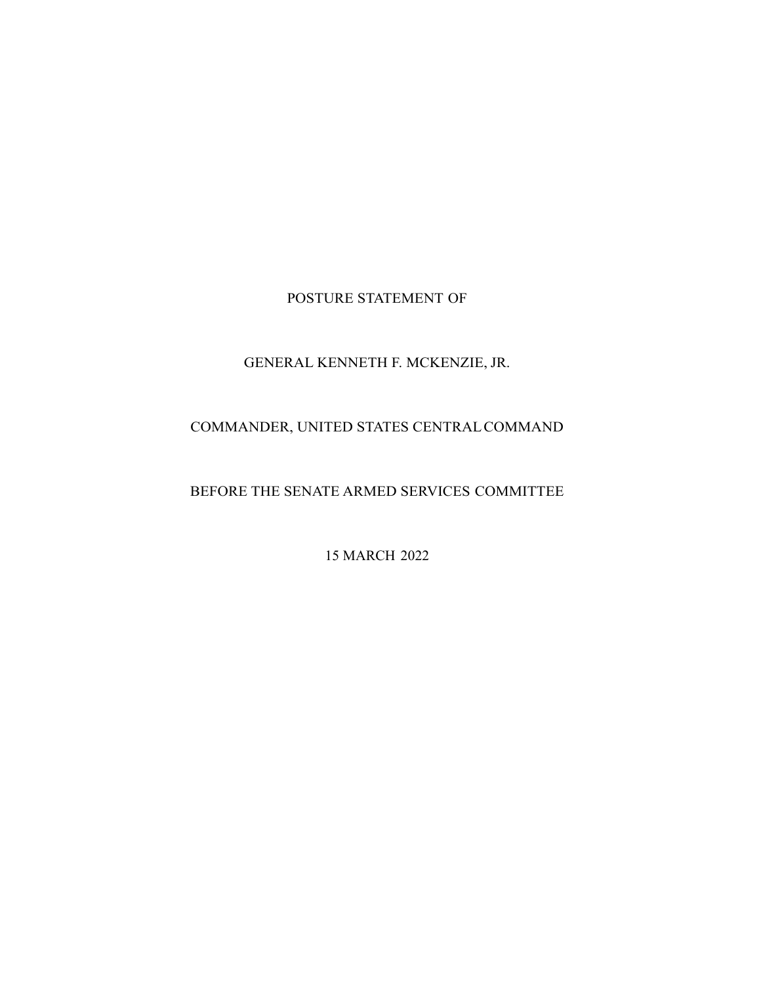POSTURE STATEMENT OF

# GENERAL KENNETH F. MCKENZIE, JR.

# COMMANDER, UNITED STATES CENTRAL COMMAND

# BEFORE THE SENATE ARMED SERVICES COMMITTEE

15 MARCH 2022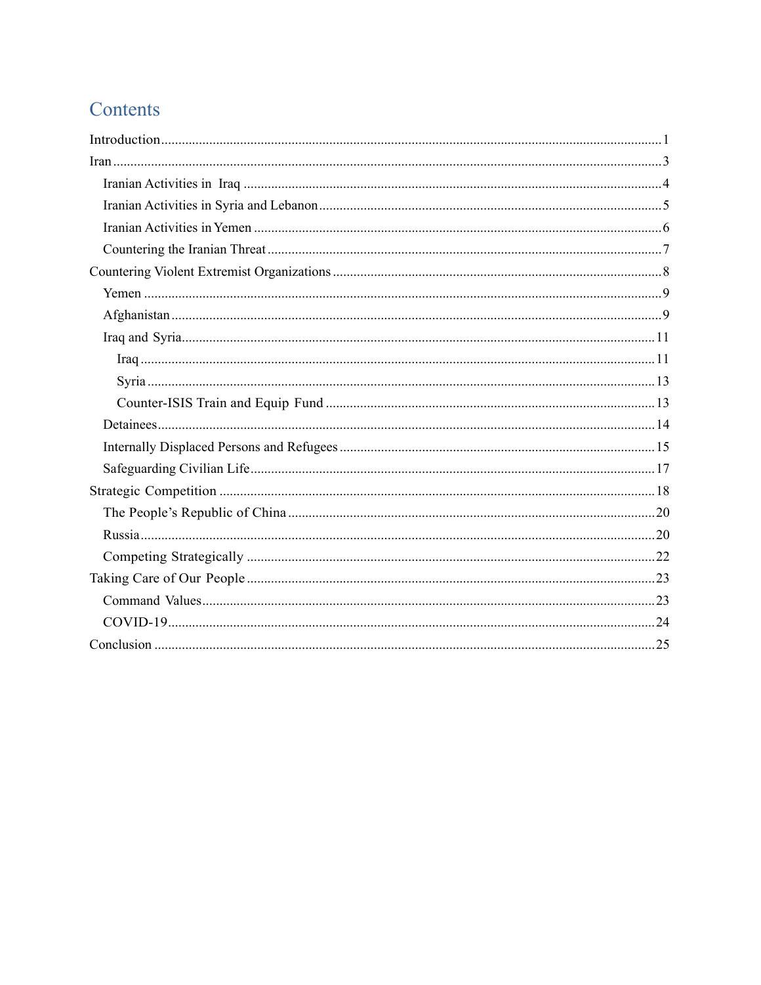# Contents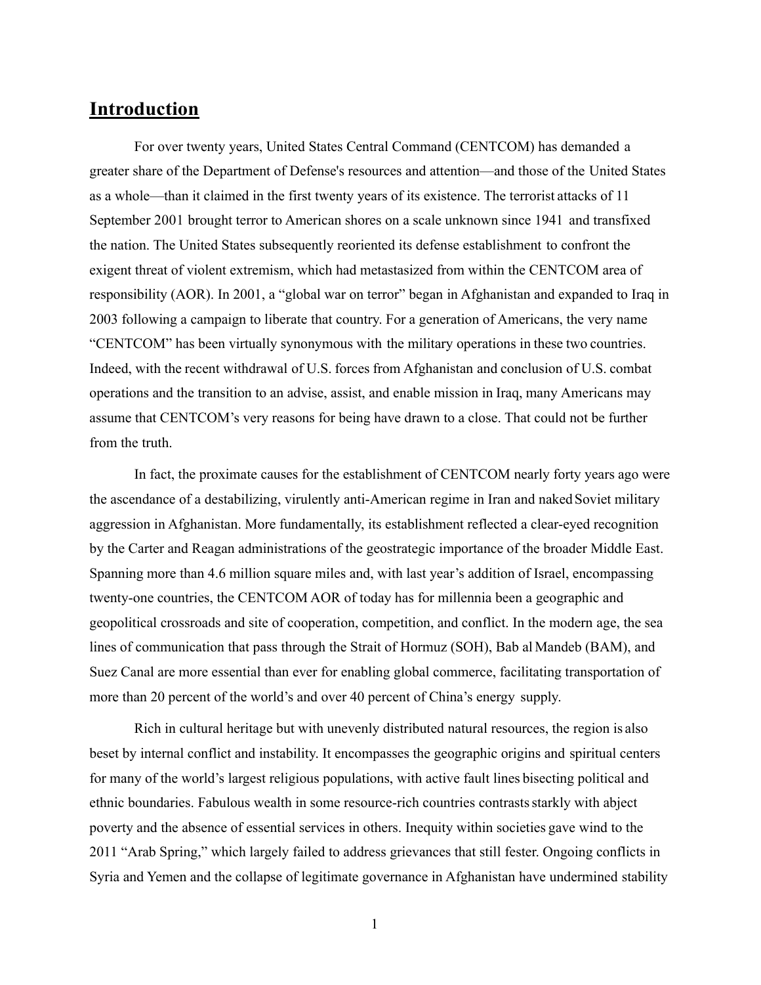# **Introduction**

For over twenty years, United States Central Command (CENTCOM) has demanded a greater share of the Department of Defense's resources and attention—and those of the United States as a whole—than it claimed in the first twenty years of its existence. The terrorist attacks of 11 September 2001 brought terror to American shores on a scale unknown since 1941 and transfixed the nation. The United States subsequently reoriented its defense establishment to confront the exigent threat of violent extremism, which had metastasized from within the CENTCOM area of responsibility (AOR). In 2001, a "global war on terror" began in Afghanistan and expanded to Iraq in 2003 following a campaign to liberate that country. For a generation of Americans, the very name "CENTCOM" has been virtually synonymous with the military operations in these two countries. Indeed, with the recent withdrawal of U.S. forces from Afghanistan and conclusion of U.S. combat operations and the transition to an advise, assist, and enable mission in Iraq, many Americans may assume that CENTCOM's very reasons for being have drawn to a close. That could not be further from the truth.

In fact, the proximate causes for the establishment of CENTCOM nearly forty years ago were the ascendance of a destabilizing, virulently anti-American regime in Iran and naked Soviet military aggression in Afghanistan. More fundamentally, its establishment reflected a clear-eyed recognition by the Carter and Reagan administrations of the geostrategic importance of the broader Middle East. Spanning more than 4.6 million square miles and, with last year's addition of Israel, encompassing twenty-one countries, the CENTCOM AOR of today has for millennia been a geographic and geopolitical crossroads and site of cooperation, competition, and conflict. In the modern age, the sea lines of communication that pass through the Strait of Hormuz (SOH), Bab al Mandeb (BAM), and Suez Canal are more essential than ever for enabling global commerce, facilitating transportation of more than 20 percent of the world's and over 40 percent of China's energy supply.

Rich in cultural heritage but with unevenly distributed natural resources, the region is also beset by internal conflict and instability. It encompasses the geographic origins and spiritual centers for many of the world's largest religious populations, with active fault lines bisecting political and ethnic boundaries. Fabulous wealth in some resource-rich countries contrasts starkly with abject poverty and the absence of essential services in others. Inequity within societies gave wind to the 2011 "Arab Spring," which largely failed to address grievances that still fester. Ongoing conflicts in Syria and Yemen and the collapse of legitimate governance in Afghanistan have undermined stability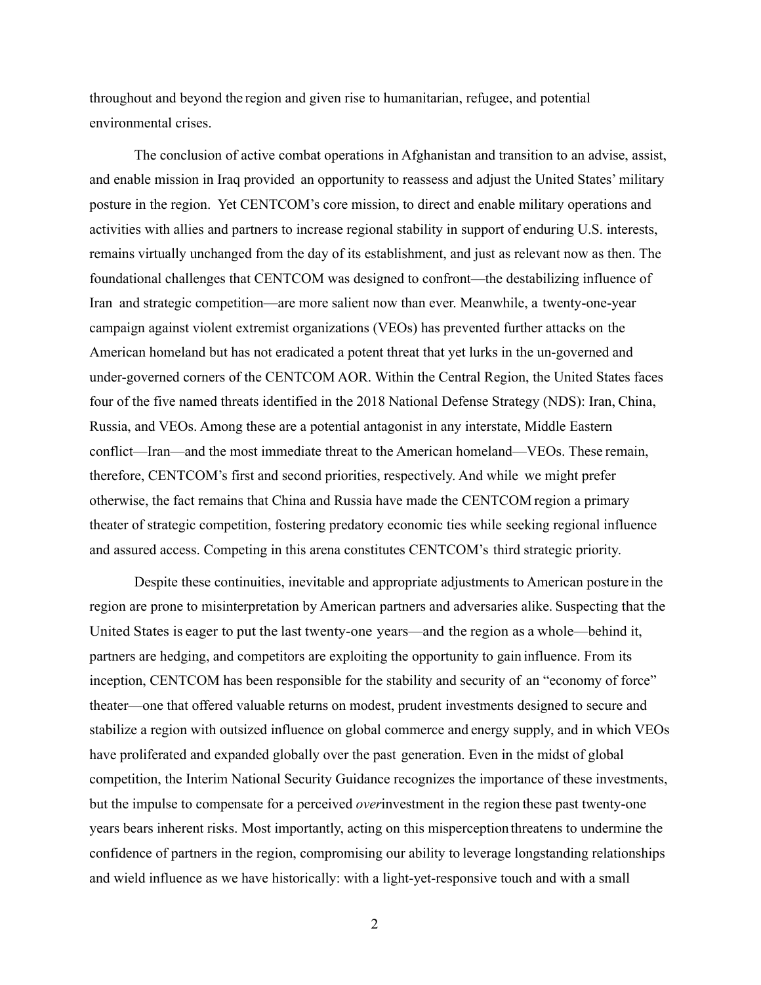throughout and beyond the region and given rise to humanitarian, refugee, and potential environmental crises.

 The conclusion of active combat operations in Afghanistan and transition to an advise, assist, and enable mission in Iraq provided an opportunity to reassess and adjust the United States' military posture in the region. Yet CENTCOM's core mission, to direct and enable military operations and activities with allies and partners to increase regional stability in support of enduring U.S. interests, remains virtually unchanged from the day of its establishment, and just as relevant now as then. The foundational challenges that CENTCOM was designed to confront—the destabilizing influence of Iran and strategic competition—are more salient now than ever. Meanwhile, a twenty-one-year campaign against violent extremist organizations (VEOs) has prevented further attacks on the American homeland but has not eradicated a potent threat that yet lurks in the un-governed and under-governed corners of the CENTCOM AOR. Within the Central Region, the United States faces four of the five named threats identified in the 2018 National Defense Strategy (NDS): Iran, China, Russia, and VEOs. Among these are a potential antagonist in any interstate, Middle Eastern conflict—Iran—and the most immediate threat to the American homeland—VEOs. These remain, therefore, CENTCOM's first and second priorities, respectively. And while we might prefer otherwise, the fact remains that China and Russia have made the CENTCOM region a primary theater of strategic competition, fostering predatory economic ties while seeking regional influence and assured access. Competing in this arena constitutes CENTCOM's third strategic priority.

 Despite these continuities, inevitable and appropriate adjustments to American posture in the region are prone to misinterpretation by American partners and adversaries alike. Suspecting that the United States is eager to put the last twenty-one years—and the region as a whole—behind it, partners are hedging, and competitors are exploiting the opportunity to gain influence. From its inception, CENTCOM has been responsible for the stability and security of an "economy of force" theater—one that offered valuable returns on modest, prudent investments designed to secure and stabilize a region with outsized influence on global commerce and energy supply, and in which VEOs have proliferated and expanded globally over the past generation. Even in the midst of global competition, the Interim National Security Guidance recognizes the importance of these investments, but the impulse to compensate for a perceived *over*investment in the region these past twenty-one years bears inherent risks. Most importantly, acting on this misperception threatens to undermine the confidence of partners in the region, compromising our ability to leverage longstanding relationships and wield influence as we have historically: with a light-yet-responsive touch and with a small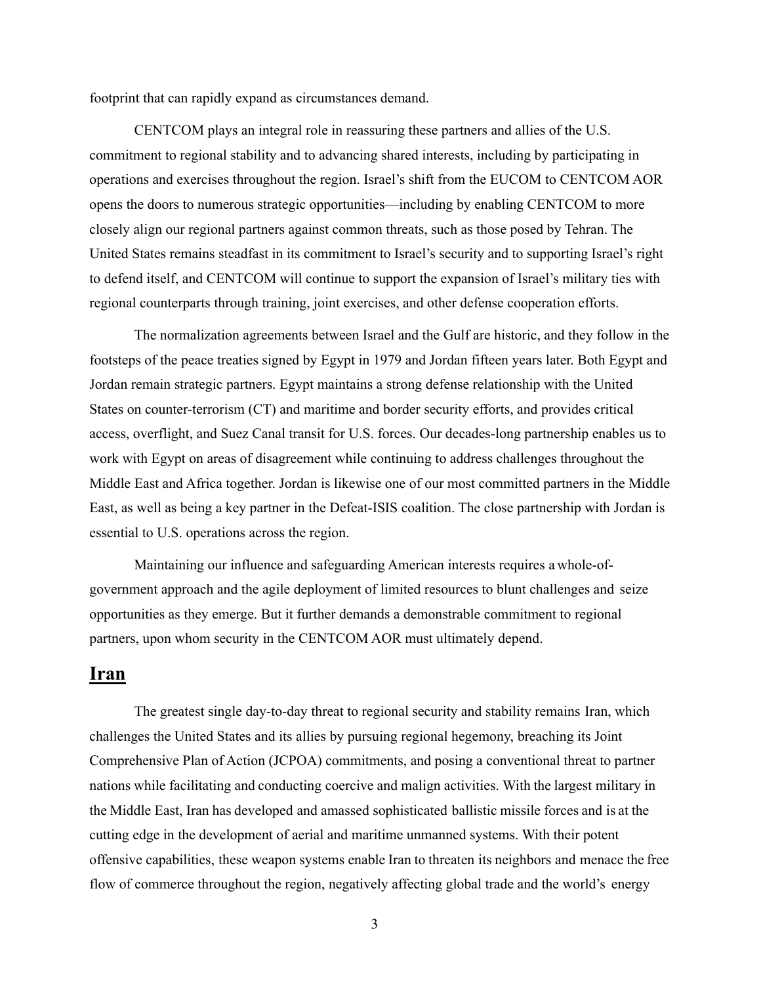footprint that can rapidly expand as circumstances demand.

 CENTCOM plays an integral role in reassuring these partners and allies of the U.S. commitment to regional stability and to advancing shared interests, including by participating in operations and exercises throughout the region. Israel's shift from the EUCOM to CENTCOM AOR opens the doors to numerous strategic opportunities—including by enabling CENTCOM to more closely align our regional partners against common threats, such as those posed by Tehran. The United States remains steadfast in its commitment to Israel's security and to supporting Israel's right to defend itself, and CENTCOM will continue to support the expansion of Israel's military ties with regional counterparts through training, joint exercises, and other defense cooperation efforts.

 The normalization agreements between Israel and the Gulf are historic, and they follow in the footsteps of the peace treaties signed by Egypt in 1979 and Jordan fifteen years later. Both Egypt and Jordan remain strategic partners. Egypt maintains a strong defense relationship with the United States on counter-terrorism (CT) and maritime and border security efforts, and provides critical access, overflight, and Suez Canal transit for U.S. forces. Our decades-long partnership enables us to work with Egypt on areas of disagreement while continuing to address challenges throughout the Middle East and Africa together. Jordan is likewise one of our most committed partners in the Middle East, as well as being a key partner in the Defeat-ISIS coalition. The close partnership with Jordan is essential to U.S. operations across the region.

 Maintaining our influence and safeguarding American interests requires a whole-ofgovernment approach and the agile deployment of limited resources to blunt challenges and seize opportunities as they emerge. But it further demands a demonstrable commitment to regional partners, upon whom security in the CENTCOM AOR must ultimately depend.

## **Iran**

The greatest single day-to-day threat to regional security and stability remains Iran, which challenges the United States and its allies by pursuing regional hegemony, breaching its Joint Comprehensive Plan of Action (JCPOA) commitments, and posing a conventional threat to partner nations while facilitating and conducting coercive and malign activities. With the largest military in the Middle East, Iran has developed and amassed sophisticated ballistic missile forces and is at the cutting edge in the development of aerial and maritime unmanned systems. With their potent offensive capabilities, these weapon systems enable Iran to threaten its neighbors and menace the free flow of commerce throughout the region, negatively affecting global trade and the world's energy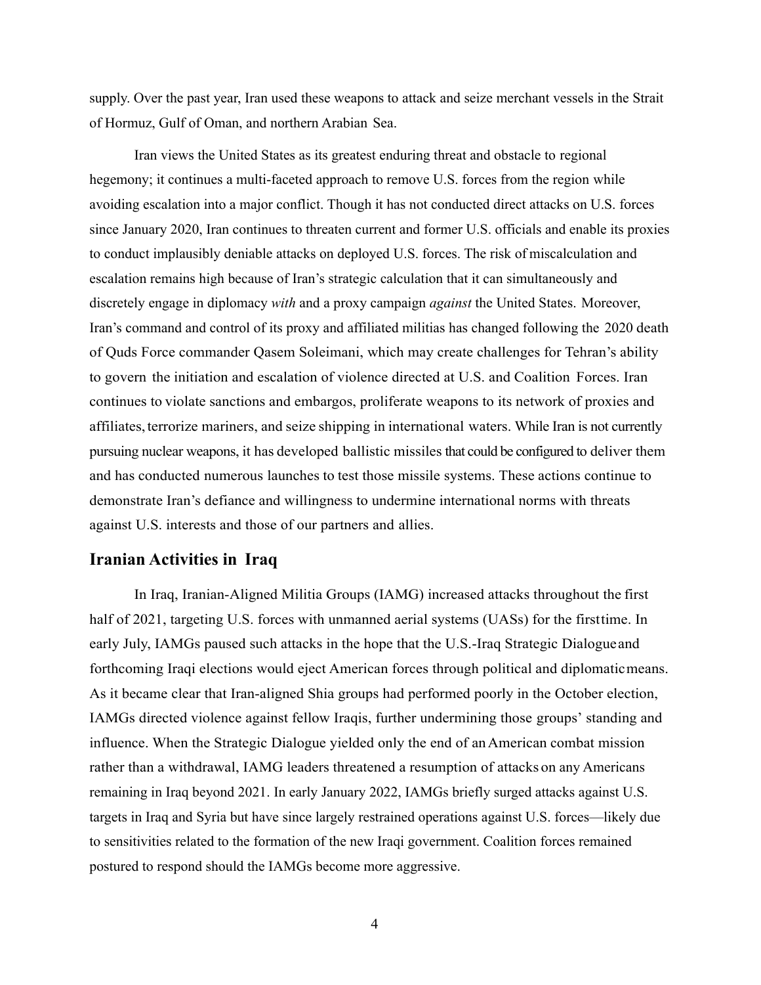supply. Over the past year, Iran used these weapons to attack and seize merchant vessels in the Strait of Hormuz, Gulf of Oman, and northern Arabian Sea.

Iran views the United States as its greatest enduring threat and obstacle to regional hegemony; it continues a multi-faceted approach to remove U.S. forces from the region while avoiding escalation into a major conflict. Though it has not conducted direct attacks on U.S. forces since January 2020, Iran continues to threaten current and former U.S. officials and enable its proxies to conduct implausibly deniable attacks on deployed U.S. forces. The risk of miscalculation and escalation remains high because of Iran's strategic calculation that it can simultaneously and discretely engage in diplomacy *with* and a proxy campaign *against* the United States. Moreover, Iran's command and control of its proxy and affiliated militias has changed following the 2020 death of Quds Force commander Qasem Soleimani, which may create challenges for Tehran's ability to govern the initiation and escalation of violence directed at U.S. and Coalition Forces. Iran continues to violate sanctions and embargos, proliferate weapons to its network of proxies and affiliates, terrorize mariners, and seize shipping in international waters. While Iran is not currently pursuing nuclear weapons, it has developed ballistic missiles that could be configured to deliver them and has conducted numerous launches to test those missile systems. These actions continue to demonstrate Iran's defiance and willingness to undermine international norms with threats against U.S. interests and those of our partners and allies.

#### **Iranian Activities in Iraq**

In Iraq, Iranian-Aligned Militia Groups (IAMG) increased attacks throughout the first half of 2021, targeting U.S. forces with unmanned aerial systems (UASs) for the first time. In early July, IAMGs paused such attacks in the hope that the U.S.-Iraq Strategic Dialogue and forthcoming Iraqi elections would eject American forces through political and diplomatic means. As it became clear that Iran-aligned Shia groups had performed poorly in the October election, IAMGs directed violence against fellow Iraqis, further undermining those groups' standing and influence. When the Strategic Dialogue yielded only the end of an American combat mission rather than a withdrawal, IAMG leaders threatened a resumption of attacks on any Americans remaining in Iraq beyond 2021. In early January 2022, IAMGs briefly surged attacks against U.S. targets in Iraq and Syria but have since largely restrained operations against U.S. forces—likely due to sensitivities related to the formation of the new Iraqi government. Coalition forces remained postured to respond should the IAMGs become more aggressive.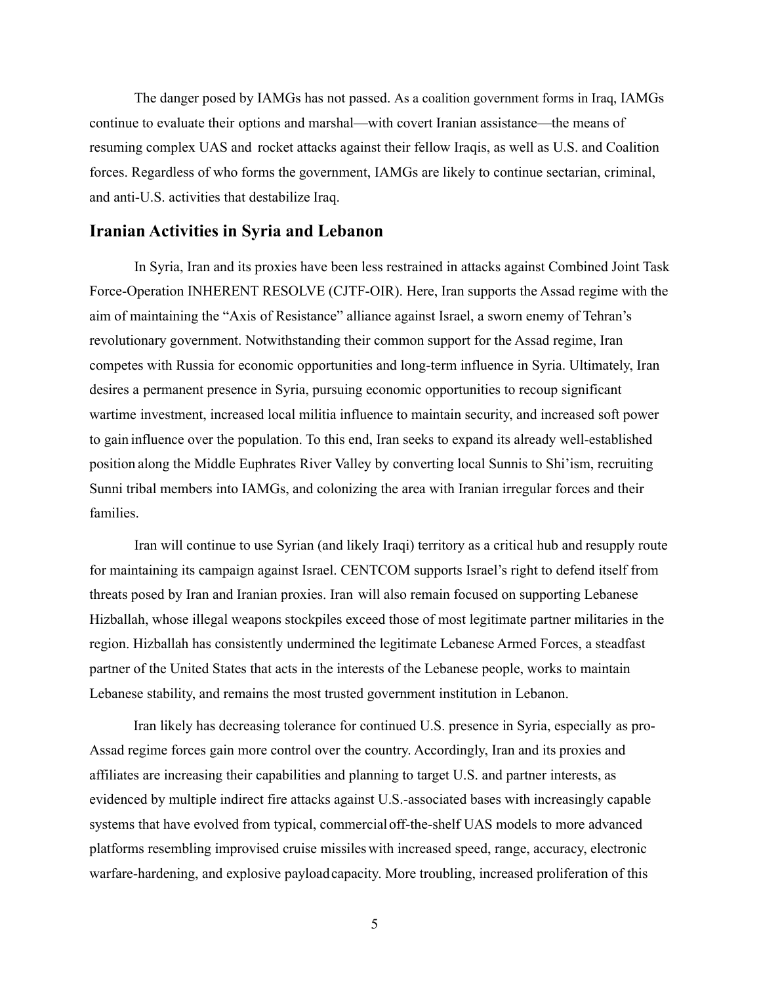The danger posed by IAMGs has not passed. As a coalition government forms in Iraq, IAMGs continue to evaluate their options and marshal—with covert Iranian assistance—the means of resuming complex UAS and rocket attacks against their fellow Iraqis, as well as U.S. and Coalition forces. Regardless of who forms the government, IAMGs are likely to continue sectarian, criminal, and anti-U.S. activities that destabilize Iraq.

#### **Iranian Activities in Syria and Lebanon**

In Syria, Iran and its proxies have been less restrained in attacks against Combined Joint Task Force-Operation INHERENT RESOLVE (CJTF-OIR). Here, Iran supports the Assad regime with the aim of maintaining the "Axis of Resistance" alliance against Israel, a sworn enemy of Tehran's revolutionary government. Notwithstanding their common support for the Assad regime, Iran competes with Russia for economic opportunities and long-term influence in Syria. Ultimately, Iran desires a permanent presence in Syria, pursuing economic opportunities to recoup significant wartime investment, increased local militia influence to maintain security, and increased soft power to gain influence over the population. To this end, Iran seeks to expand its already well-established position along the Middle Euphrates River Valley by converting local Sunnis to Shi'ism, recruiting Sunni tribal members into IAMGs, and colonizing the area with Iranian irregular forces and their families.

 Iran will continue to use Syrian (and likely Iraqi) territory as a critical hub and resupply route for maintaining its campaign against Israel. CENTCOM supports Israel's right to defend itself from threats posed by Iran and Iranian proxies. Iran will also remain focused on supporting Lebanese Hizballah, whose illegal weapons stockpiles exceed those of most legitimate partner militaries in the region. Hizballah has consistently undermined the legitimate Lebanese Armed Forces, a steadfast partner of the United States that acts in the interests of the Lebanese people, works to maintain Lebanese stability, and remains the most trusted government institution in Lebanon.

 Iran likely has decreasing tolerance for continued U.S. presence in Syria, especially as pro-Assad regime forces gain more control over the country. Accordingly, Iran and its proxies and affiliates are increasing their capabilities and planning to target U.S. and partner interests, as evidenced by multiple indirect fire attacks against U.S.-associated bases with increasingly capable systems that have evolved from typical, commercial off-the-shelf UAS models to more advanced platforms resembling improvised cruise missiles with increased speed, range, accuracy, electronic warfare-hardening, and explosive payload capacity. More troubling, increased proliferation of this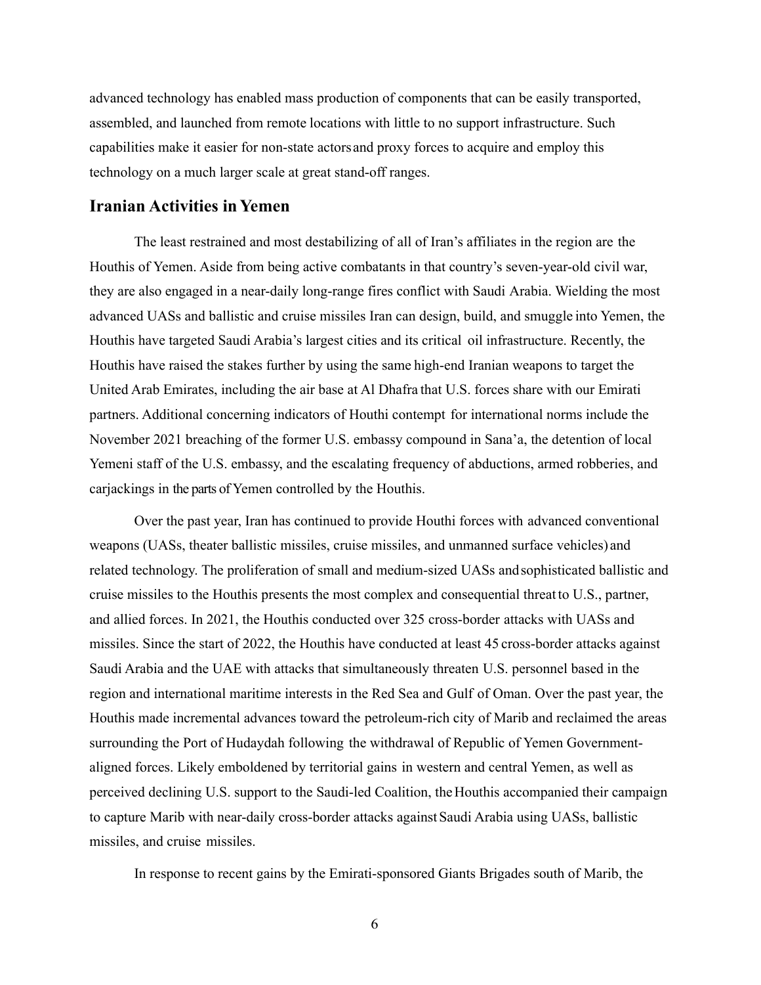advanced technology has enabled mass production of components that can be easily transported, assembled, and launched from remote locations with little to no support infrastructure. Such capabilities make it easier for non-state actors and proxy forces to acquire and employ this technology on a much larger scale at great stand-off ranges.

#### **Iranian Activities in Yemen**

The least restrained and most destabilizing of all of Iran's affiliates in the region are the Houthis of Yemen. Aside from being active combatants in that country's seven-year-old civil war, they are also engaged in a near-daily long-range fires conflict with Saudi Arabia. Wielding the most advanced UASs and ballistic and cruise missiles Iran can design, build, and smuggle into Yemen, the Houthis have targeted Saudi Arabia's largest cities and its critical oil infrastructure. Recently, the Houthis have raised the stakes further by using the same high-end Iranian weapons to target the United Arab Emirates, including the air base at Al Dhafra that U.S. forces share with our Emirati partners. Additional concerning indicators of Houthi contempt for international norms include the November 2021 breaching of the former U.S. embassy compound in Sana'a, the detention of local Yemeni staff of the U.S. embassy, and the escalating frequency of abductions, armed robberies, and carjackings in the parts of Yemen controlled by the Houthis.

 Over the past year, Iran has continued to provide Houthi forces with advanced conventional weapons (UASs, theater ballistic missiles, cruise missiles, and unmanned surface vehicles) and related technology. The proliferation of small and medium-sized UASs and sophisticated ballistic and cruise missiles to the Houthis presents the most complex and consequential threat to U.S., partner, and allied forces. In 2021, the Houthis conducted over 325 cross-border attacks with UASs and missiles. Since the start of 2022, the Houthis have conducted at least 45 cross-border attacks against Saudi Arabia and the UAE with attacks that simultaneously threaten U.S. personnel based in the region and international maritime interests in the Red Sea and Gulf of Oman. Over the past year, the Houthis made incremental advances toward the petroleum-rich city of Marib and reclaimed the areas surrounding the Port of Hudaydah following the withdrawal of Republic of Yemen Governmentaligned forces. Likely emboldened by territorial gains in western and central Yemen, as well as perceived declining U.S. support to the Saudi-led Coalition, the Houthis accompanied their campaign to capture Marib with near-daily cross-border attacks against Saudi Arabia using UASs, ballistic missiles, and cruise missiles.

In response to recent gains by the Emirati-sponsored Giants Brigades south of Marib, the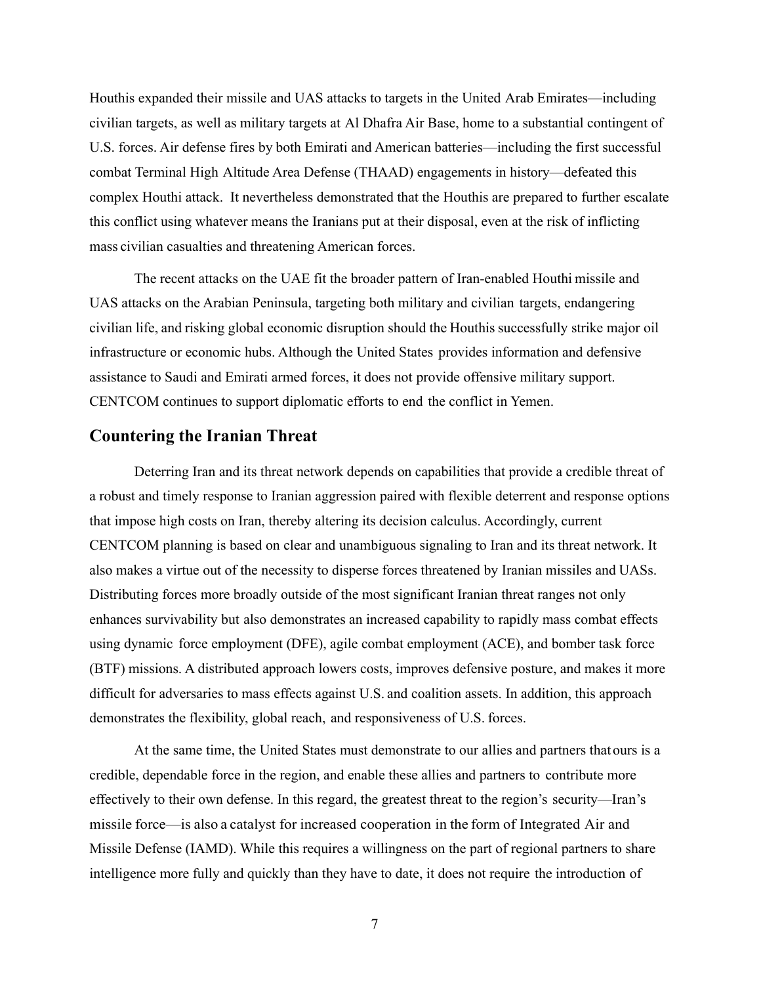Houthis expanded their missile and UAS attacks to targets in the United Arab Emirates—including civilian targets, as well as military targets at Al Dhafra Air Base, home to a substantial contingent of U.S. forces. Air defense fires by both Emirati and American batteries—including the first successful combat Terminal High Altitude Area Defense (THAAD) engagements in history—defeated this complex Houthi attack. It nevertheless demonstrated that the Houthis are prepared to further escalate this conflict using whatever means the Iranians put at their disposal, even at the risk of inflicting mass civilian casualties and threatening American forces.

 The recent attacks on the UAE fit the broader pattern of Iran-enabled Houthi missile and UAS attacks on the Arabian Peninsula, targeting both military and civilian targets, endangering civilian life, and risking global economic disruption should the Houthis successfully strike major oil infrastructure or economic hubs. Although the United States provides information and defensive assistance to Saudi and Emirati armed forces, it does not provide offensive military support. CENTCOM continues to support diplomatic efforts to end the conflict in Yemen.

#### **Countering the Iranian Threat**

Deterring Iran and its threat network depends on capabilities that provide a credible threat of a robust and timely response to Iranian aggression paired with flexible deterrent and response options that impose high costs on Iran, thereby altering its decision calculus. Accordingly, current CENTCOM planning is based on clear and unambiguous signaling to Iran and its threat network. It also makes a virtue out of the necessity to disperse forces threatened by Iranian missiles and UASs. Distributing forces more broadly outside of the most significant Iranian threat ranges not only enhances survivability but also demonstrates an increased capability to rapidly mass combat effects using dynamic force employment (DFE), agile combat employment (ACE), and bomber task force (BTF) missions. A distributed approach lowers costs, improves defensive posture, and makes it more difficult for adversaries to mass effects against U.S. and coalition assets. In addition, this approach demonstrates the flexibility, global reach, and responsiveness of U.S. forces.

 At the same time, the United States must demonstrate to our allies and partners that ours is a credible, dependable force in the region, and enable these allies and partners to contribute more effectively to their own defense. In this regard, the greatest threat to the region's security—Iran's missile force—is also a catalyst for increased cooperation in the form of Integrated Air and Missile Defense (IAMD). While this requires a willingness on the part of regional partners to share intelligence more fully and quickly than they have to date, it does not require the introduction of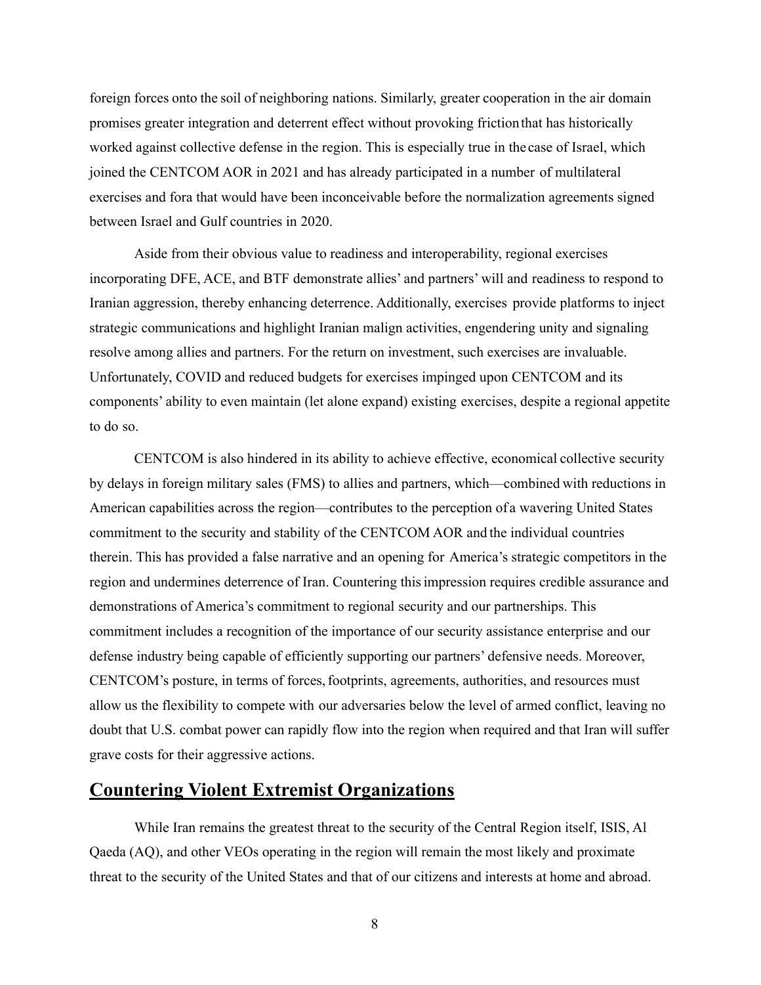foreign forces onto the soil of neighboring nations. Similarly, greater cooperation in the air domain promises greater integration and deterrent effect without provoking friction that has historically worked against collective defense in the region. This is especially true in the case of Israel, which joined the CENTCOM AOR in 2021 and has already participated in a number of multilateral exercises and fora that would have been inconceivable before the normalization agreements signed between Israel and Gulf countries in 2020.

 Aside from their obvious value to readiness and interoperability, regional exercises incorporating DFE, ACE, and BTF demonstrate allies' and partners' will and readiness to respond to Iranian aggression, thereby enhancing deterrence. Additionally, exercises provide platforms to inject strategic communications and highlight Iranian malign activities, engendering unity and signaling resolve among allies and partners. For the return on investment, such exercises are invaluable. Unfortunately, COVID and reduced budgets for exercises impinged upon CENTCOM and its components' ability to even maintain (let alone expand) existing exercises, despite a regional appetite to do so.

 CENTCOM is also hindered in its ability to achieve effective, economical collective security by delays in foreign military sales (FMS) to allies and partners, which—combined with reductions in American capabilities across the region—contributes to the perception of a wavering United States commitment to the security and stability of the CENTCOM AOR and the individual countries therein. This has provided a false narrative and an opening for America's strategic competitors in the region and undermines deterrence of Iran. Countering this impression requires credible assurance and demonstrations of America's commitment to regional security and our partnerships. This commitment includes a recognition of the importance of our security assistance enterprise and our defense industry being capable of efficiently supporting our partners' defensive needs. Moreover, CENTCOM's posture, in terms of forces, footprints, agreements, authorities, and resources must allow us the flexibility to compete with our adversaries below the level of armed conflict, leaving no doubt that U.S. combat power can rapidly flow into the region when required and that Iran will suffer grave costs for their aggressive actions.

## **Countering Violent Extremist Organizations**

While Iran remains the greatest threat to the security of the Central Region itself, ISIS, Al Qaeda (AQ), and other VEOs operating in the region will remain the most likely and proximate threat to the security of the United States and that of our citizens and interests at home and abroad.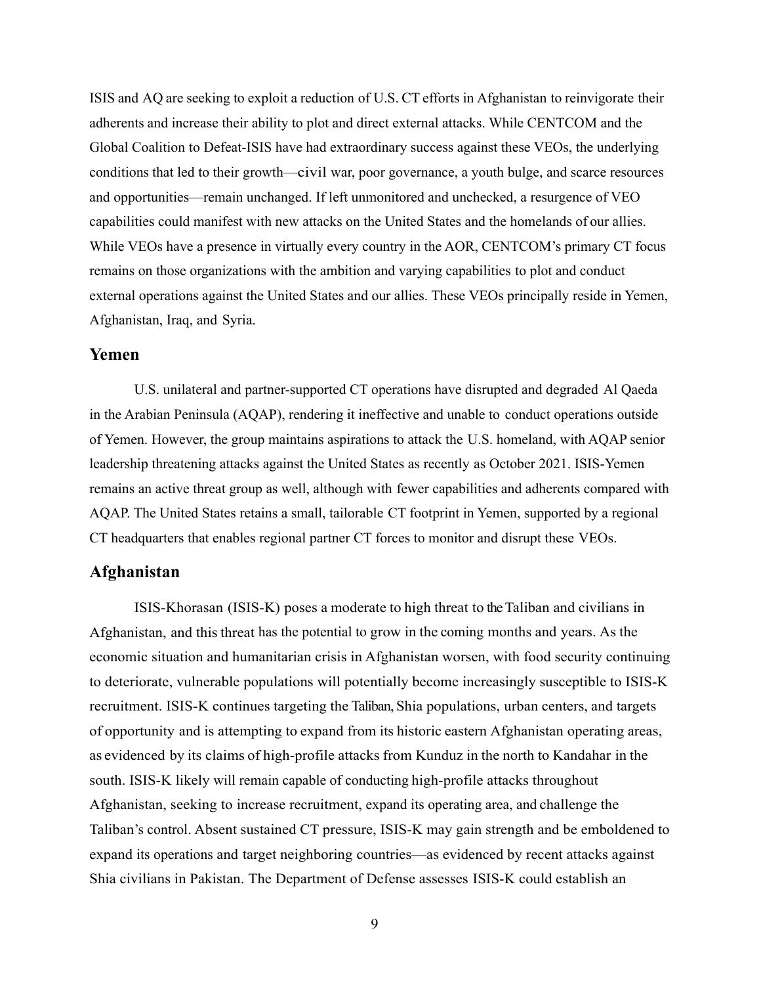ISIS and AQ are seeking to exploit a reduction of U.S. CT efforts in Afghanistan to reinvigorate their adherents and increase their ability to plot and direct external attacks. While CENTCOM and the Global Coalition to Defeat-ISIS have had extraordinary success against these VEOs, the underlying conditions that led to their growth—civil war, poor governance, a youth bulge, and scarce resources and opportunities—remain unchanged. If left unmonitored and unchecked, a resurgence of VEO capabilities could manifest with new attacks on the United States and the homelands of our allies. While VEOs have a presence in virtually every country in the AOR, CENTCOM's primary CT focus remains on those organizations with the ambition and varying capabilities to plot and conduct external operations against the United States and our allies. These VEOs principally reside in Yemen, Afghanistan, Iraq, and Syria.

#### **Yemen**

U.S. unilateral and partner-supported CT operations have disrupted and degraded Al Qaeda in the Arabian Peninsula (AQAP), rendering it ineffective and unable to conduct operations outside of Yemen. However, the group maintains aspirations to attack the U.S. homeland, with AQAP senior leadership threatening attacks against the United States as recently as October 2021. ISIS-Yemen remains an active threat group as well, although with fewer capabilities and adherents compared with AQAP. The United States retains a small, tailorable CT footprint in Yemen, supported by a regional CT headquarters that enables regional partner CT forces to monitor and disrupt these VEOs.

#### **Afghanistan**

ISIS-Khorasan (ISIS-K) poses a moderate to high threat to the Taliban and civilians in Afghanistan, and this threat has the potential to grow in the coming months and years. As the economic situation and humanitarian crisis in Afghanistan worsen, with food security continuing to deteriorate, vulnerable populations will potentially become increasingly susceptible to ISIS-K recruitment. ISIS-K continues targeting the Taliban, Shia populations, urban centers, and targets of opportunity and is attempting to expand from its historic eastern Afghanistan operating areas, as evidenced by its claims of high-profile attacks from Kunduz in the north to Kandahar in the south. ISIS-K likely will remain capable of conducting high-profile attacks throughout Afghanistan, seeking to increase recruitment, expand its operating area, and challenge the Taliban's control. Absent sustained CT pressure, ISIS-K may gain strength and be emboldened to expand its operations and target neighboring countries—as evidenced by recent attacks against Shia civilians in Pakistan. The Department of Defense assesses ISIS-K could establish an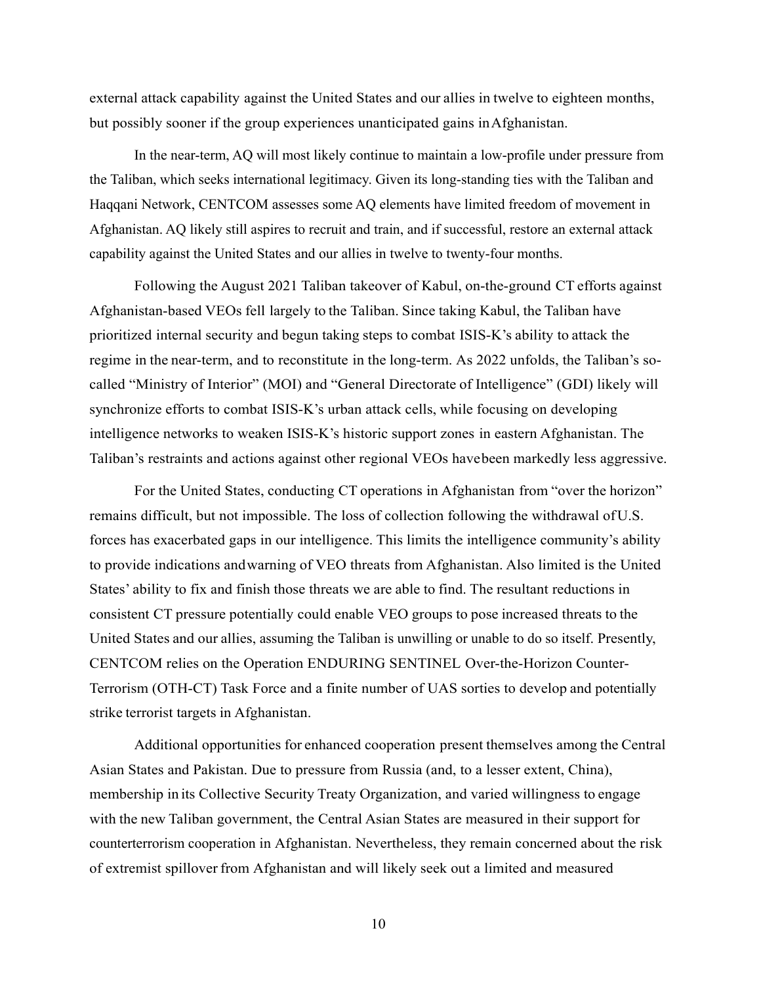external attack capability against the United States and our allies in twelve to eighteen months, but possibly sooner if the group experiences unanticipated gains in Afghanistan.

In the near-term, AQ will most likely continue to maintain a low-profile under pressure from the Taliban, which seeks international legitimacy. Given its long-standing ties with the Taliban and Haqqani Network, CENTCOM assesses some AQ elements have limited freedom of movement in Afghanistan. AQ likely still aspires to recruit and train, and if successful, restore an external attack capability against the United States and our allies in twelve to twenty-four months.

Following the August 2021 Taliban takeover of Kabul, on-the-ground CT efforts against Afghanistan-based VEOs fell largely to the Taliban. Since taking Kabul, the Taliban have prioritized internal security and begun taking steps to combat ISIS-K's ability to attack the regime in the near-term, and to reconstitute in the long-term. As 2022 unfolds, the Taliban's socalled "Ministry of Interior" (MOI) and "General Directorate of Intelligence" (GDI) likely will synchronize efforts to combat ISIS-K's urban attack cells, while focusing on developing intelligence networks to weaken ISIS-K's historic support zones in eastern Afghanistan. The Taliban's restraints and actions against other regional VEOs have been markedly less aggressive.

 For the United States, conducting CT operations in Afghanistan from "over the horizon" remains difficult, but not impossible. The loss of collection following the withdrawal of U.S. forces has exacerbated gaps in our intelligence. This limits the intelligence community's ability to provide indications and warning of VEO threats from Afghanistan. Also limited is the United States' ability to fix and finish those threats we are able to find. The resultant reductions in consistent CT pressure potentially could enable VEO groups to pose increased threats to the United States and our allies, assuming the Taliban is unwilling or unable to do so itself. Presently, CENTCOM relies on the Operation ENDURING SENTINEL Over-the-Horizon Counter-Terrorism (OTH-CT) Task Force and a finite number of UAS sorties to develop and potentially strike terrorist targets in Afghanistan.

 Additional opportunities for enhanced cooperation present themselves among the Central Asian States and Pakistan. Due to pressure from Russia (and, to a lesser extent, China), membership in its Collective Security Treaty Organization, and varied willingness to engage with the new Taliban government, the Central Asian States are measured in their support for counterterrorism cooperation in Afghanistan. Nevertheless, they remain concerned about the risk of extremist spillover from Afghanistan and will likely seek out a limited and measured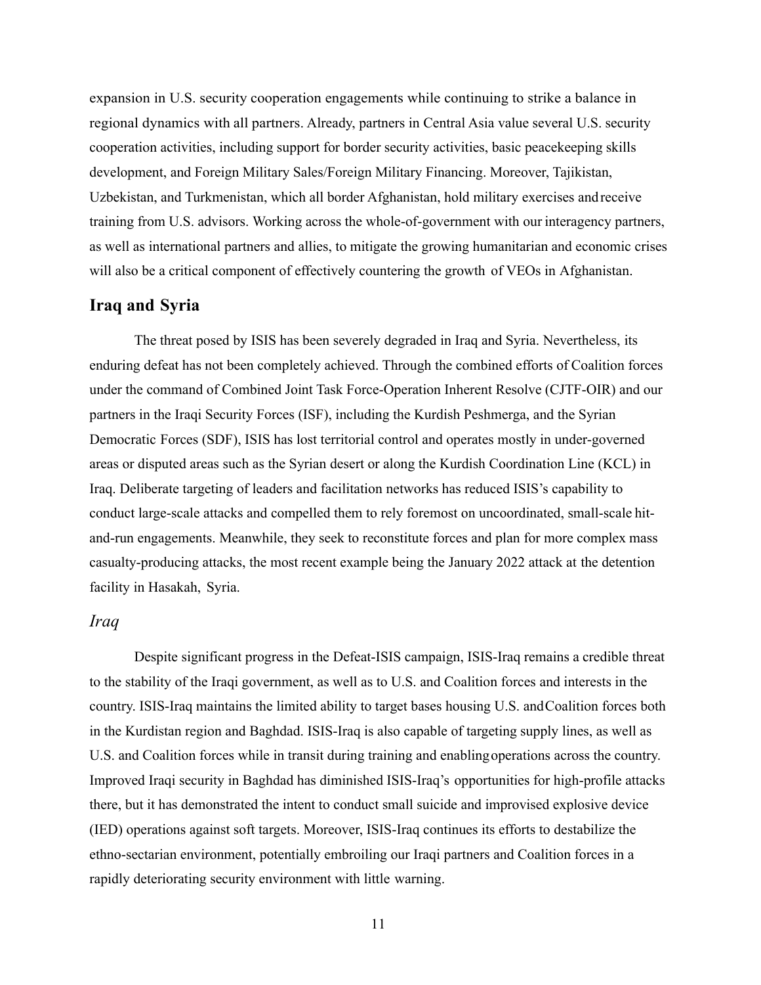expansion in U.S. security cooperation engagements while continuing to strike a balance in regional dynamics with all partners. Already, partners in Central Asia value several U.S. security cooperation activities, including support for border security activities, basic peacekeeping skills development, and Foreign Military Sales/Foreign Military Financing. Moreover, Tajikistan, Uzbekistan, and Turkmenistan, which all border Afghanistan, hold military exercises and receive training from U.S. advisors. Working across the whole-of-government with our interagency partners, as well as international partners and allies, to mitigate the growing humanitarian and economic crises will also be a critical component of effectively countering the growth of VEOs in Afghanistan.

#### **Iraq and Syria**

The threat posed by ISIS has been severely degraded in Iraq and Syria. Nevertheless, its enduring defeat has not been completely achieved. Through the combined efforts of Coalition forces under the command of Combined Joint Task Force-Operation Inherent Resolve (CJTF-OIR) and our partners in the Iraqi Security Forces (ISF), including the Kurdish Peshmerga, and the Syrian Democratic Forces (SDF), ISIS has lost territorial control and operates mostly in under-governed areas or disputed areas such as the Syrian desert or along the Kurdish Coordination Line (KCL) in Iraq. Deliberate targeting of leaders and facilitation networks has reduced ISIS's capability to conduct large-scale attacks and compelled them to rely foremost on uncoordinated, small-scale hitand-run engagements. Meanwhile, they seek to reconstitute forces and plan for more complex mass casualty-producing attacks, the most recent example being the January 2022 attack at the detention facility in Hasakah, Syria.

## *Iraq*

Despite significant progress in the Defeat-ISIS campaign, ISIS-Iraq remains a credible threat to the stability of the Iraqi government, as well as to U.S. and Coalition forces and interests in the country. ISIS-Iraq maintains the limited ability to target bases housing U.S. and Coalition forces both in the Kurdistan region and Baghdad. ISIS-Iraq is also capable of targeting supply lines, as well as U.S. and Coalition forces while in transit during training and enabling operations across the country. Improved Iraqi security in Baghdad has diminished ISIS-Iraq's opportunities for high-profile attacks there, but it has demonstrated the intent to conduct small suicide and improvised explosive device (IED) operations against soft targets. Moreover, ISIS-Iraq continues its efforts to destabilize the ethno-sectarian environment, potentially embroiling our Iraqi partners and Coalition forces in a rapidly deteriorating security environment with little warning.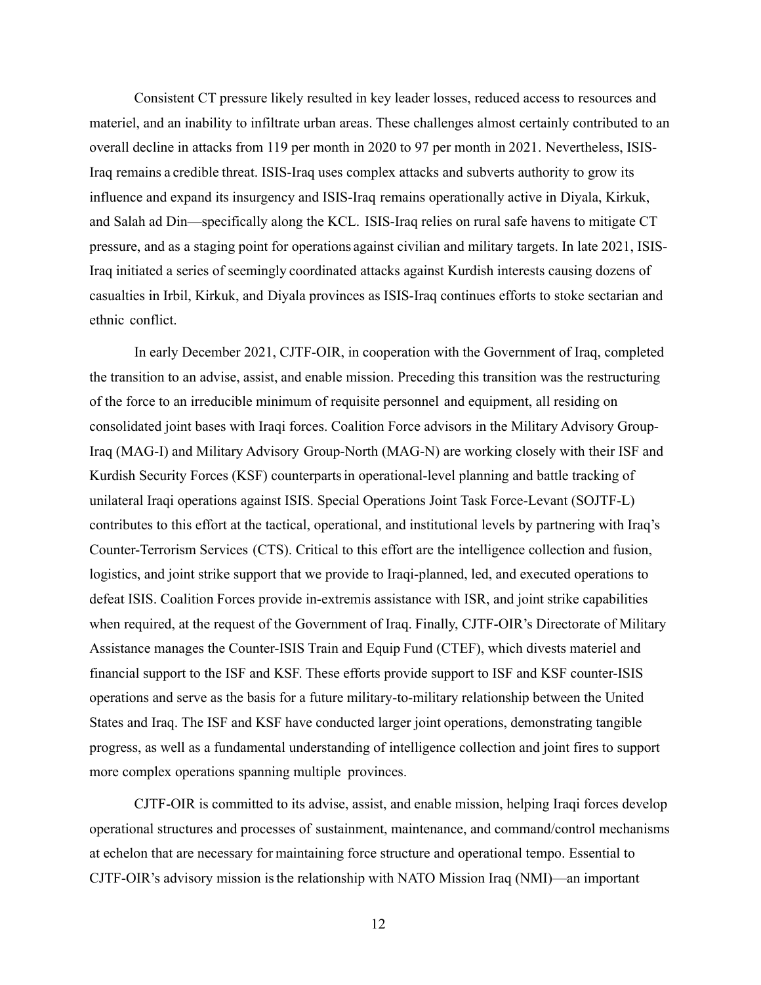Consistent CT pressure likely resulted in key leader losses, reduced access to resources and materiel, and an inability to infiltrate urban areas. These challenges almost certainly contributed to an overall decline in attacks from 119 per month in 2020 to 97 per month in 2021. Nevertheless, ISIS-Iraq remains a credible threat. ISIS-Iraq uses complex attacks and subverts authority to grow its influence and expand its insurgency and ISIS-Iraq remains operationally active in Diyala, Kirkuk, and Salah ad Din—specifically along the KCL. ISIS-Iraq relies on rural safe havens to mitigate CT pressure, and as a staging point for operations against civilian and military targets. In late 2021, ISIS-Iraq initiated a series of seemingly coordinated attacks against Kurdish interests causing dozens of casualties in Irbil, Kirkuk, and Diyala provinces as ISIS-Iraq continues efforts to stoke sectarian and ethnic conflict.

 In early December 2021, CJTF-OIR, in cooperation with the Government of Iraq, completed the transition to an advise, assist, and enable mission. Preceding this transition was the restructuring of the force to an irreducible minimum of requisite personnel and equipment, all residing on consolidated joint bases with Iraqi forces. Coalition Force advisors in the Military Advisory Group-Iraq (MAG-I) and Military Advisory Group-North (MAG-N) are working closely with their ISF and Kurdish Security Forces (KSF) counterparts in operational-level planning and battle tracking of unilateral Iraqi operations against ISIS. Special Operations Joint Task Force-Levant (SOJTF-L) contributes to this effort at the tactical, operational, and institutional levels by partnering with Iraq's Counter-Terrorism Services (CTS). Critical to this effort are the intelligence collection and fusion, logistics, and joint strike support that we provide to Iraqi-planned, led, and executed operations to defeat ISIS. Coalition Forces provide in-extremis assistance with ISR, and joint strike capabilities when required, at the request of the Government of Iraq. Finally, CJTF-OIR's Directorate of Military Assistance manages the Counter-ISIS Train and Equip Fund (CTEF), which divests materiel and financial support to the ISF and KSF. These efforts provide support to ISF and KSF counter-ISIS operations and serve as the basis for a future military-to-military relationship between the United States and Iraq. The ISF and KSF have conducted larger joint operations, demonstrating tangible progress, as well as a fundamental understanding of intelligence collection and joint fires to support more complex operations spanning multiple provinces.

CJTF-OIR is committed to its advise, assist, and enable mission, helping Iraqi forces develop operational structures and processes of sustainment, maintenance, and command/control mechanisms at echelon that are necessary for maintaining force structure and operational tempo. Essential to CJTF-OIR's advisory mission is the relationship with NATO Mission Iraq (NMI)—an important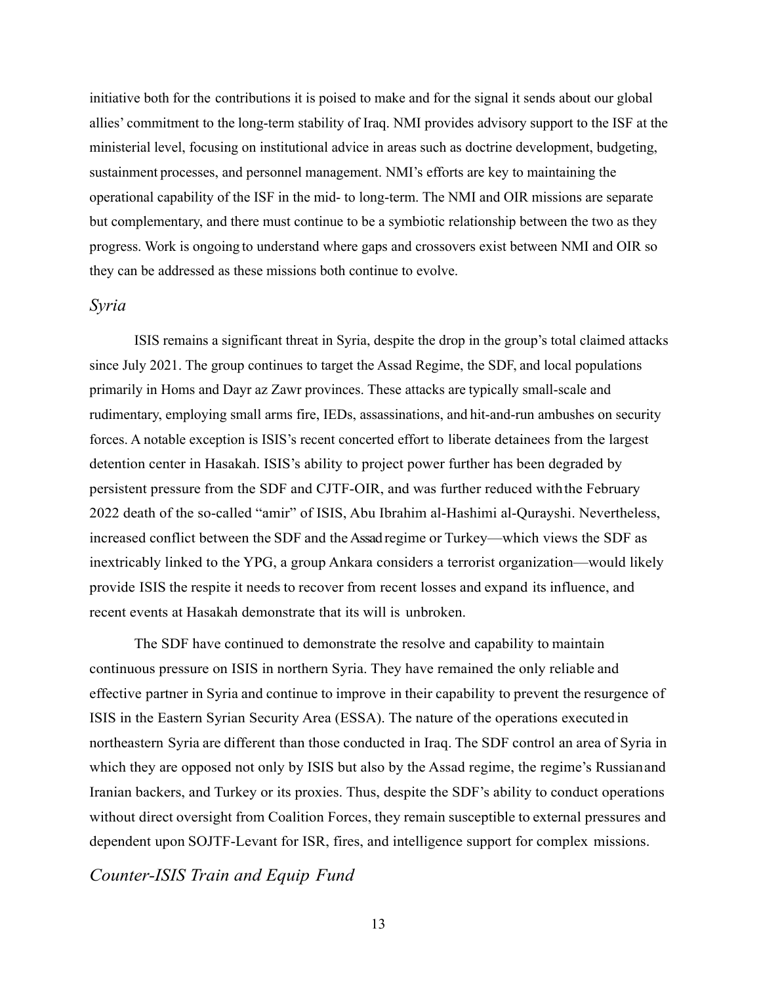initiative both for the contributions it is poised to make and for the signal it sends about our global allies' commitment to the long-term stability of Iraq. NMI provides advisory support to the ISF at the ministerial level, focusing on institutional advice in areas such as doctrine development, budgeting, sustainment processes, and personnel management. NMI's efforts are key to maintaining the operational capability of the ISF in the mid- to long-term. The NMI and OIR missions are separate but complementary, and there must continue to be a symbiotic relationship between the two as they progress. Work is ongoing to understand where gaps and crossovers exist between NMI and OIR so they can be addressed as these missions both continue to evolve.

#### *Syria*

ISIS remains a significant threat in Syria, despite the drop in the group's total claimed attacks since July 2021. The group continues to target the Assad Regime, the SDF, and local populations primarily in Homs and Dayr az Zawr provinces. These attacks are typically small-scale and rudimentary, employing small arms fire, IEDs, assassinations, and hit-and-run ambushes on security forces. A notable exception is ISIS's recent concerted effort to liberate detainees from the largest detention center in Hasakah. ISIS's ability to project power further has been degraded by persistent pressure from the SDF and CJTF-OIR, and was further reduced with the February 2022 death of the so-called "amir" of ISIS, Abu Ibrahim al-Hashimi al-Qurayshi. Nevertheless, increased conflict between the SDF and the Assad regime or Turkey—which views the SDF as inextricably linked to the YPG, a group Ankara considers a terrorist organization—would likely provide ISIS the respite it needs to recover from recent losses and expand its influence, and recent events at Hasakah demonstrate that its will is unbroken.

 The SDF have continued to demonstrate the resolve and capability to maintain continuous pressure on ISIS in northern Syria. They have remained the only reliable and effective partner in Syria and continue to improve in their capability to prevent the resurgence of ISIS in the Eastern Syrian Security Area (ESSA). The nature of the operations executed in northeastern Syria are different than those conducted in Iraq. The SDF control an area of Syria in which they are opposed not only by ISIS but also by the Assad regime, the regime's Russian and Iranian backers, and Turkey or its proxies. Thus, despite the SDF's ability to conduct operations without direct oversight from Coalition Forces, they remain susceptible to external pressures and dependent upon SOJTF-Levant for ISR, fires, and intelligence support for complex missions.

*Counter-ISIS Train and Equip Fund*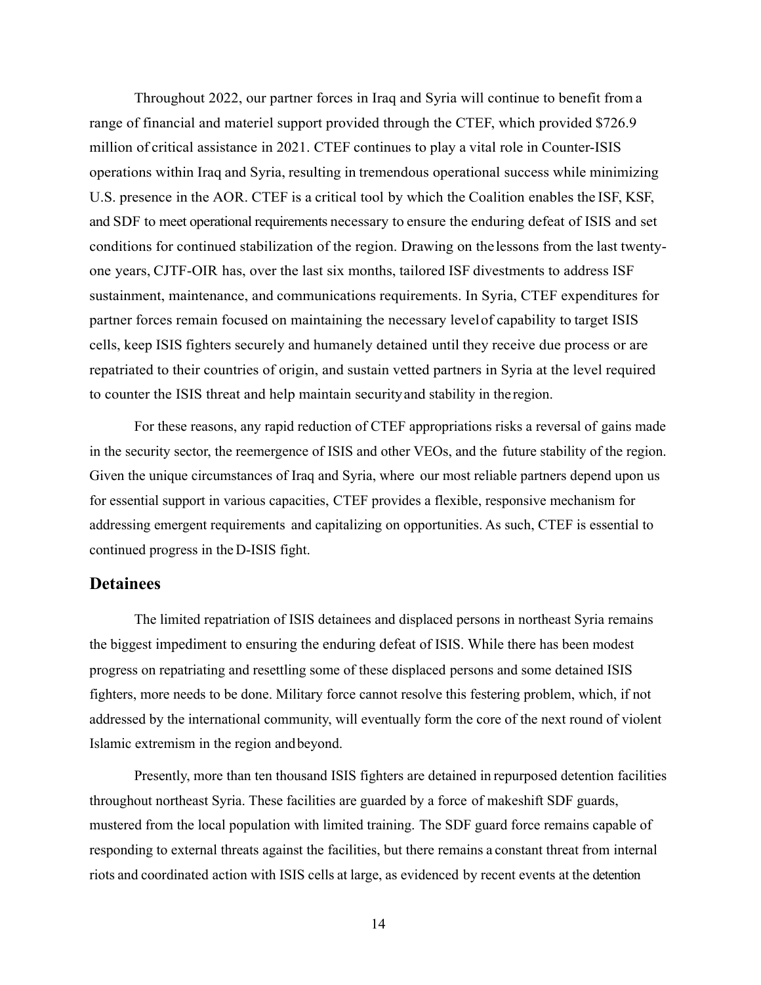Throughout 2022, our partner forces in Iraq and Syria will continue to benefit from a range of financial and materiel support provided through the CTEF, which provided \$726.9 million of critical assistance in 2021. CTEF continues to play a vital role in Counter-ISIS operations within Iraq and Syria, resulting in tremendous operational success while minimizing U.S. presence in the AOR. CTEF is a critical tool by which the Coalition enables the ISF, KSF, and SDF to meet operational requirements necessary to ensure the enduring defeat of ISIS and set conditions for continued stabilization of the region. Drawing on the lessons from the last twentyone years, CJTF-OIR has, over the last six months, tailored ISF divestments to address ISF sustainment, maintenance, and communications requirements. In Syria, CTEF expenditures for partner forces remain focused on maintaining the necessary level of capability to target ISIS cells, keep ISIS fighters securely and humanely detained until they receive due process or are repatriated to their countries of origin, and sustain vetted partners in Syria at the level required to counter the ISIS threat and help maintain security and stability in the region.

 For these reasons, any rapid reduction of CTEF appropriations risks a reversal of gains made in the security sector, the reemergence of ISIS and other VEOs, and the future stability of the region. Given the unique circumstances of Iraq and Syria, where our most reliable partners depend upon us for essential support in various capacities, CTEF provides a flexible, responsive mechanism for addressing emergent requirements and capitalizing on opportunities. As such, CTEF is essential to continued progress in the D-ISIS fight.

## **Detainees**

The limited repatriation of ISIS detainees and displaced persons in northeast Syria remains the biggest impediment to ensuring the enduring defeat of ISIS. While there has been modest progress on repatriating and resettling some of these displaced persons and some detained ISIS fighters, more needs to be done. Military force cannot resolve this festering problem, which, if not addressed by the international community, will eventually form the core of the next round of violent Islamic extremism in the region and beyond.

Presently, more than ten thousand ISIS fighters are detained in repurposed detention facilities throughout northeast Syria. These facilities are guarded by a force of makeshift SDF guards, mustered from the local population with limited training. The SDF guard force remains capable of responding to external threats against the facilities, but there remains a constant threat from internal riots and coordinated action with ISIS cells at large, as evidenced by recent events at the detention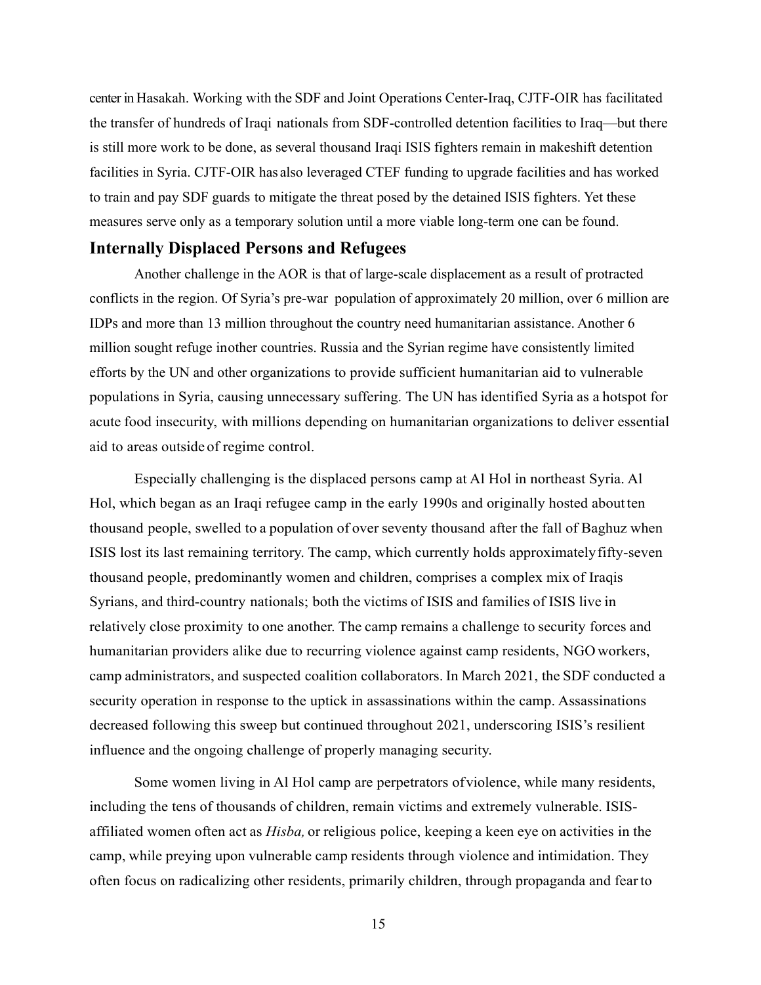center in Hasakah. Working with the SDF and Joint Operations Center-Iraq, CJTF-OIR has facilitated the transfer of hundreds of Iraqi nationals from SDF-controlled detention facilities to Iraq—but there is still more work to be done, as several thousand Iraqi ISIS fighters remain in makeshift detention facilities in Syria. CJTF-OIR has also leveraged CTEF funding to upgrade facilities and has worked to train and pay SDF guards to mitigate the threat posed by the detained ISIS fighters. Yet these measures serve only as a temporary solution until a more viable long-term one can be found.

## **Internally Displaced Persons and Refugees**

 Another challenge in the AOR is that of large-scale displacement as a result of protracted conflicts in the region. Of Syria's pre-war population of approximately 20 million, over 6 million are IDPs and more than 13 million throughout the country need humanitarian assistance. Another 6 million sought refuge in other countries. Russia and the Syrian regime have consistently limited efforts by the UN and other organizations to provide sufficient humanitarian aid to vulnerable populations in Syria, causing unnecessary suffering. The UN has identified Syria as a hotspot for acute food insecurity, with millions depending on humanitarian organizations to deliver essential aid to areas outside of regime control.

Especially challenging is the displaced persons camp at Al Hol in northeast Syria. Al Hol, which began as an Iraqi refugee camp in the early 1990s and originally hosted about ten thousand people, swelled to a population of over seventy thousand after the fall of Baghuz when ISIS lost its last remaining territory. The camp, which currently holds approximately fifty-seven thousand people, predominantly women and children, comprises a complex mix of Iraqis Syrians, and third-country nationals; both the victims of ISIS and families of ISIS live in relatively close proximity to one another. The camp remains a challenge to security forces and humanitarian providers alike due to recurring violence against camp residents, NGO workers, camp administrators, and suspected coalition collaborators. In March 2021, the SDF conducted a security operation in response to the uptick in assassinations within the camp. Assassinations decreased following this sweep but continued throughout 2021, underscoring ISIS's resilient influence and the ongoing challenge of properly managing security.

 Some women living in Al Hol camp are perpetrators of violence, while many residents, including the tens of thousands of children, remain victims and extremely vulnerable. ISISaffiliated women often act as *Hisba,* or religious police, keeping a keen eye on activities in the camp, while preying upon vulnerable camp residents through violence and intimidation. They often focus on radicalizing other residents, primarily children, through propaganda and fear to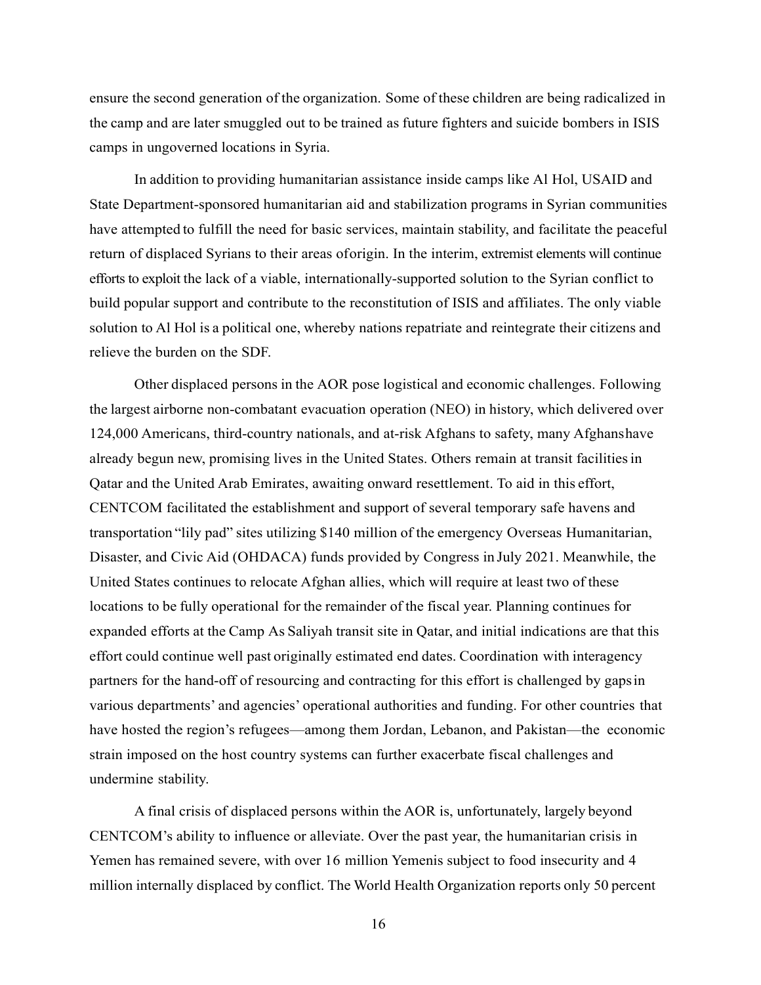ensure the second generation of the organization. Some of these children are being radicalized in the camp and are later smuggled out to be trained as future fighters and suicide bombers in ISIS camps in ungoverned locations in Syria.

 In addition to providing humanitarian assistance inside camps like Al Hol, USAID and State Department-sponsored humanitarian aid and stabilization programs in Syrian communities have attempted to fulfill the need for basic services, maintain stability, and facilitate the peaceful return of displaced Syrians to their areas of origin. In the interim, extremist elements will continue efforts to exploit the lack of a viable, internationally-supported solution to the Syrian conflict to build popular support and contribute to the reconstitution of ISIS and affiliates. The only viable solution to Al Hol is a political one, whereby nations repatriate and reintegrate their citizens and relieve the burden on the SDF.

 Other displaced persons in the AOR pose logistical and economic challenges. Following the largest airborne non-combatant evacuation operation (NEO) in history, which delivered over 124,000 Americans, third-country nationals, and at-risk Afghans to safety, many Afghans have already begun new, promising lives in the United States. Others remain at transit facilities in Qatar and the United Arab Emirates, awaiting onward resettlement. To aid in this effort, CENTCOM facilitated the establishment and support of several temporary safe havens and transportation "lily pad" sites utilizing \$140 million of the emergency Overseas Humanitarian, Disaster, and Civic Aid (OHDACA) funds provided by Congress in July 2021. Meanwhile, the United States continues to relocate Afghan allies, which will require at least two of these locations to be fully operational for the remainder of the fiscal year. Planning continues for expanded efforts at the Camp As Saliyah transit site in Qatar, and initial indications are that this effort could continue well past originally estimated end dates. Coordination with interagency partners for the hand-off of resourcing and contracting for this effort is challenged by gaps in various departments' and agencies' operational authorities and funding. For other countries that have hosted the region's refugees—among them Jordan, Lebanon, and Pakistan—the economic strain imposed on the host country systems can further exacerbate fiscal challenges and undermine stability.

A final crisis of displaced persons within the AOR is, unfortunately, largely beyond CENTCOM's ability to influence or alleviate. Over the past year, the humanitarian crisis in Yemen has remained severe, with over 16 million Yemenis subject to food insecurity and 4 million internally displaced by conflict. The World Health Organization reports only 50 percent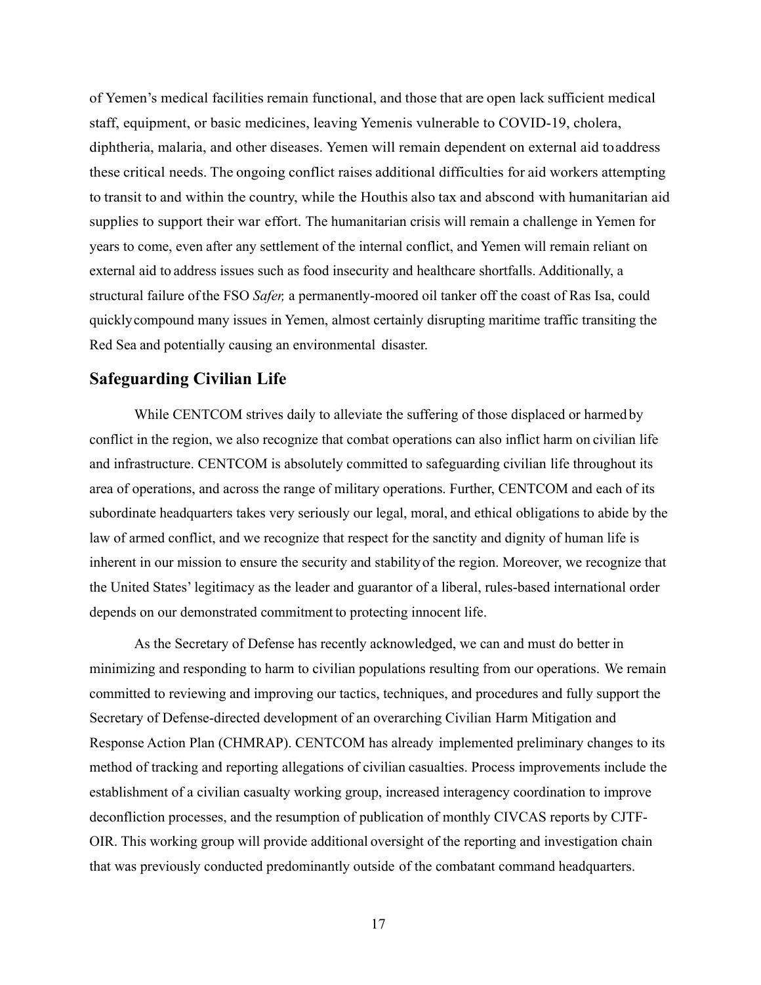of Yemen's medical facilities remain functional, and those that are open lack sufficient medical staff, equipment, or basic medicines, leaving Yemenis vulnerable to COVID-19, cholera, diphtheria, malaria, and other diseases. Yemen will remain dependent on external aid to address these critical needs. The ongoing conflict raises additional difficulties for aid workers attempting to transit to and within the country, while the Houthis also tax and abscond with humanitarian aid supplies to support their war effort. The humanitarian crisis will remain a challenge in Yemen for years to come, even after any settlement of the internal conflict, and Yemen will remain reliant on external aid to address issues such as food insecurity and healthcare shortfalls. Additionally, a structural failure of the FSO *Safer,* a permanently-moored oil tanker off the coast of Ras Isa, could quickly compound many issues in Yemen, almost certainly disrupting maritime traffic transiting the Red Sea and potentially causing an environmental disaster.

## **Safeguarding Civilian Life**

While CENTCOM strives daily to alleviate the suffering of those displaced or harmed by conflict in the region, we also recognize that combat operations can also inflict harm on civilian life and infrastructure. CENTCOM is absolutely committed to safeguarding civilian life throughout its area of operations, and across the range of military operations. Further, CENTCOM and each of its subordinate headquarters takes very seriously our legal, moral, and ethical obligations to abide by the law of armed conflict, and we recognize that respect for the sanctity and dignity of human life is inherent in our mission to ensure the security and stability of the region. Moreover, we recognize that the United States' legitimacy as the leader and guarantor of a liberal, rules-based international order depends on our demonstrated commitment to protecting innocent life.

 As the Secretary of Defense has recently acknowledged, we can and must do better in minimizing and responding to harm to civilian populations resulting from our operations. We remain committed to reviewing and improving our tactics, techniques, and procedures and fully support the Secretary of Defense-directed development of an overarching Civilian Harm Mitigation and Response Action Plan (CHMRAP). CENTCOM has already implemented preliminary changes to its method of tracking and reporting allegations of civilian casualties. Process improvements include the establishment of a civilian casualty working group, increased interagency coordination to improve deconfliction processes, and the resumption of publication of monthly CIVCAS reports by CJTF-OIR. This working group will provide additional oversight of the reporting and investigation chain that was previously conducted predominantly outside of the combatant command headquarters.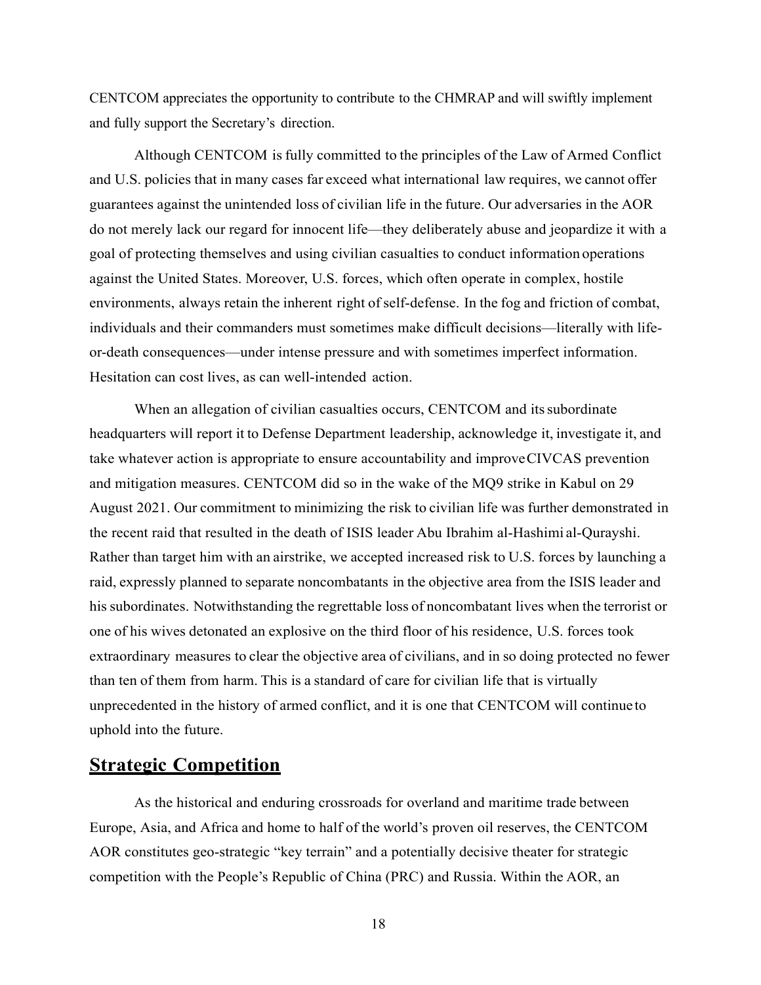CENTCOM appreciates the opportunity to contribute to the CHMRAP and will swiftly implement and fully support the Secretary's direction.

Although CENTCOM is fully committed to the principles of the Law of Armed Conflict and U.S. policies that in many cases far exceed what international law requires, we cannot offer guarantees against the unintended loss of civilian life in the future. Our adversaries in the AOR do not merely lack our regard for innocent life—they deliberately abuse and jeopardize it with a goal of protecting themselves and using civilian casualties to conduct information operations against the United States. Moreover, U.S. forces, which often operate in complex, hostile environments, always retain the inherent right of self-defense. In the fog and friction of combat, individuals and their commanders must sometimes make difficult decisions—literally with lifeor-death consequences—under intense pressure and with sometimes imperfect information. Hesitation can cost lives, as can well-intended action.

When an allegation of civilian casualties occurs, CENTCOM and its subordinate headquarters will report it to Defense Department leadership, acknowledge it, investigate it, and take whatever action is appropriate to ensure accountability and improve CIVCAS prevention and mitigation measures. CENTCOM did so in the wake of the MQ9 strike in Kabul on 29 August 2021. Our commitment to minimizing the risk to civilian life was further demonstrated in the recent raid that resulted in the death of ISIS leader Abu Ibrahim al-Hashimi al-Qurayshi. Rather than target him with an airstrike, we accepted increased risk to U.S. forces by launching a raid, expressly planned to separate noncombatants in the objective area from the ISIS leader and his subordinates. Notwithstanding the regrettable loss of noncombatant lives when the terrorist or one of his wives detonated an explosive on the third floor of his residence, U.S. forces took extraordinary measures to clear the objective area of civilians, and in so doing protected no fewer than ten of them from harm. This is a standard of care for civilian life that is virtually unprecedented in the history of armed conflict, and it is one that CENTCOM will continue to uphold into the future.

## **Strategic Competition**

 As the historical and enduring crossroads for overland and maritime trade between Europe, Asia, and Africa and home to half of the world's proven oil reserves, the CENTCOM AOR constitutes geo-strategic "key terrain" and a potentially decisive theater for strategic competition with the People's Republic of China (PRC) and Russia. Within the AOR, an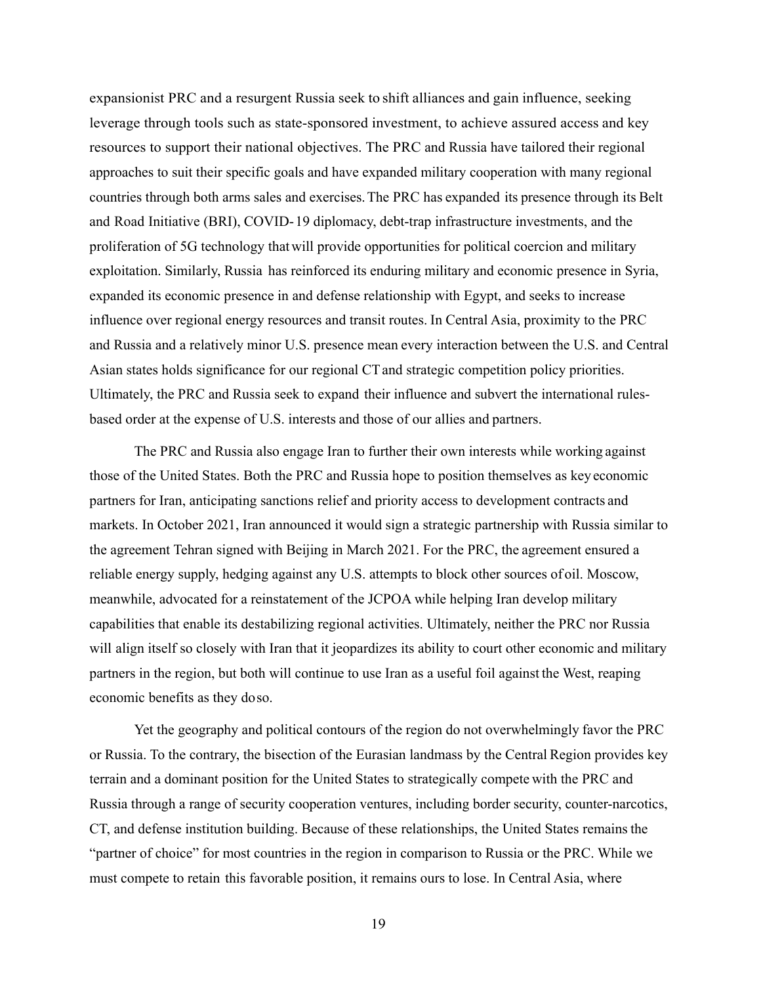expansionist PRC and a resurgent Russia seek to shift alliances and gain influence, seeking leverage through tools such as state-sponsored investment, to achieve assured access and key resources to support their national objectives. The PRC and Russia have tailored their regional approaches to suit their specific goals and have expanded military cooperation with many regional countries through both arms sales and exercises. The PRC has expanded its presence through its Belt and Road Initiative (BRI), COVID- 19 diplomacy, debt-trap infrastructure investments, and the proliferation of 5G technology that will provide opportunities for political coercion and military exploitation. Similarly, Russia has reinforced its enduring military and economic presence in Syria, expanded its economic presence in and defense relationship with Egypt, and seeks to increase influence over regional energy resources and transit routes. In Central Asia, proximity to the PRC and Russia and a relatively minor U.S. presence mean every interaction between the U.S. and Central Asian states holds significance for our regional CT and strategic competition policy priorities. Ultimately, the PRC and Russia seek to expand their influence and subvert the international rulesbased order at the expense of U.S. interests and those of our allies and partners.

 The PRC and Russia also engage Iran to further their own interests while working against those of the United States. Both the PRC and Russia hope to position themselves as key economic partners for Iran, anticipating sanctions relief and priority access to development contracts and markets. In October 2021, Iran announced it would sign a strategic partnership with Russia similar to the agreement Tehran signed with Beijing in March 2021. For the PRC, the agreement ensured a reliable energy supply, hedging against any U.S. attempts to block other sources of oil. Moscow, meanwhile, advocated for a reinstatement of the JCPOA while helping Iran develop military capabilities that enable its destabilizing regional activities. Ultimately, neither the PRC nor Russia will align itself so closely with Iran that it jeopardizes its ability to court other economic and military partners in the region, but both will continue to use Iran as a useful foil against the West, reaping economic benefits as they do so.

 Yet the geography and political contours of the region do not overwhelmingly favor the PRC or Russia. To the contrary, the bisection of the Eurasian landmass by the Central Region provides key terrain and a dominant position for the United States to strategically compete with the PRC and Russia through a range of security cooperation ventures, including border security, counter-narcotics, CT, and defense institution building. Because of these relationships, the United States remains the "partner of choice" for most countries in the region in comparison to Russia or the PRC. While we must compete to retain this favorable position, it remains ours to lose. In Central Asia, where

<sup>19</sup>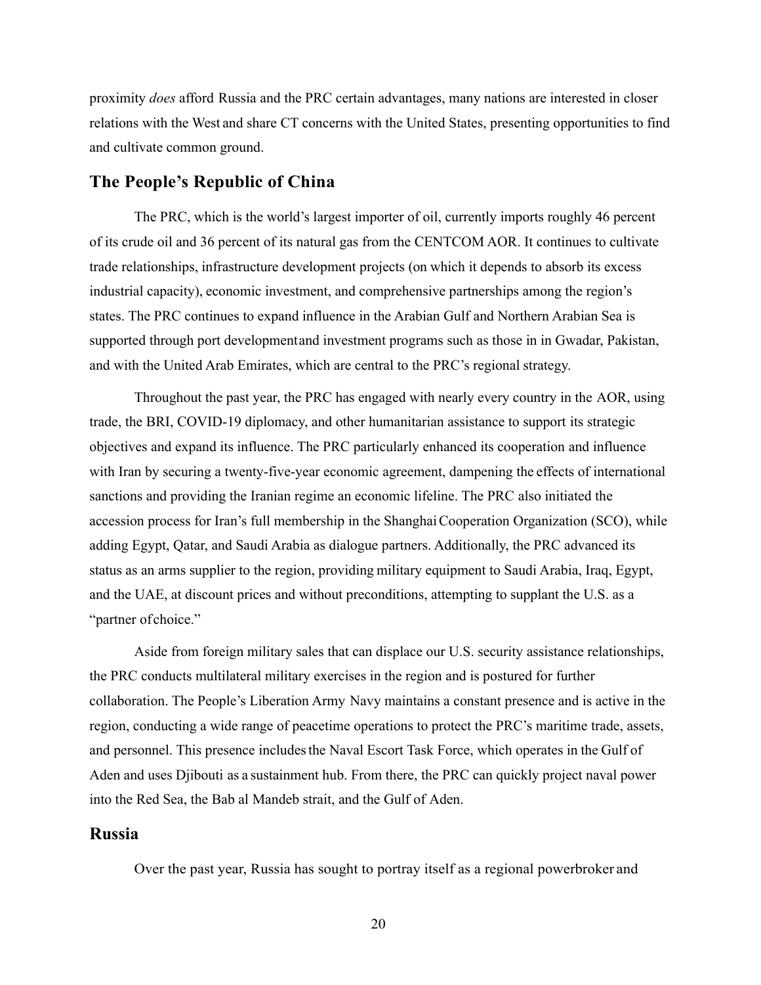proximity *does* afford Russia and the PRC certain advantages, many nations are interested in closer relations with the West and share CT concerns with the United States, presenting opportunities to find and cultivate common ground.

## **The People's Republic of China**

The PRC, which is the world's largest importer of oil, currently imports roughly 46 percent of its crude oil and 36 percent of its natural gas from the CENTCOM AOR. It continues to cultivate trade relationships, infrastructure development projects (on which it depends to absorb its excess industrial capacity), economic investment, and comprehensive partnerships among the region's states. The PRC continues to expand influence in the Arabian Gulf and Northern Arabian Sea is supported through port development and investment programs such as those in in Gwadar, Pakistan, and with the United Arab Emirates, which are central to the PRC's regional strategy.

 Throughout the past year, the PRC has engaged with nearly every country in the AOR, using trade, the BRI, COVID-19 diplomacy, and other humanitarian assistance to support its strategic objectives and expand its influence. The PRC particularly enhanced its cooperation and influence with Iran by securing a twenty-five-year economic agreement, dampening the effects of international sanctions and providing the Iranian regime an economic lifeline. The PRC also initiated the accession process for Iran's full membership in the Shanghai Cooperation Organization (SCO), while adding Egypt, Qatar, and Saudi Arabia as dialogue partners. Additionally, the PRC advanced its status as an arms supplier to the region, providing military equipment to Saudi Arabia, Iraq, Egypt, and the UAE, at discount prices and without preconditions, attempting to supplant the U.S. as a "partner of choice."

 Aside from foreign military sales that can displace our U.S. security assistance relationships, the PRC conducts multilateral military exercises in the region and is postured for further collaboration. The People's Liberation Army Navy maintains a constant presence and is active in the region, conducting a wide range of peacetime operations to protect the PRC's maritime trade, assets, and personnel. This presence includes the Naval Escort Task Force, which operates in the Gulf of Aden and uses Djibouti as a sustainment hub. From there, the PRC can quickly project naval power into the Red Sea, the Bab al Mandeb strait, and the Gulf of Aden.

### **Russia**

Over the past year, Russia has sought to portray itself as a regional powerbroker and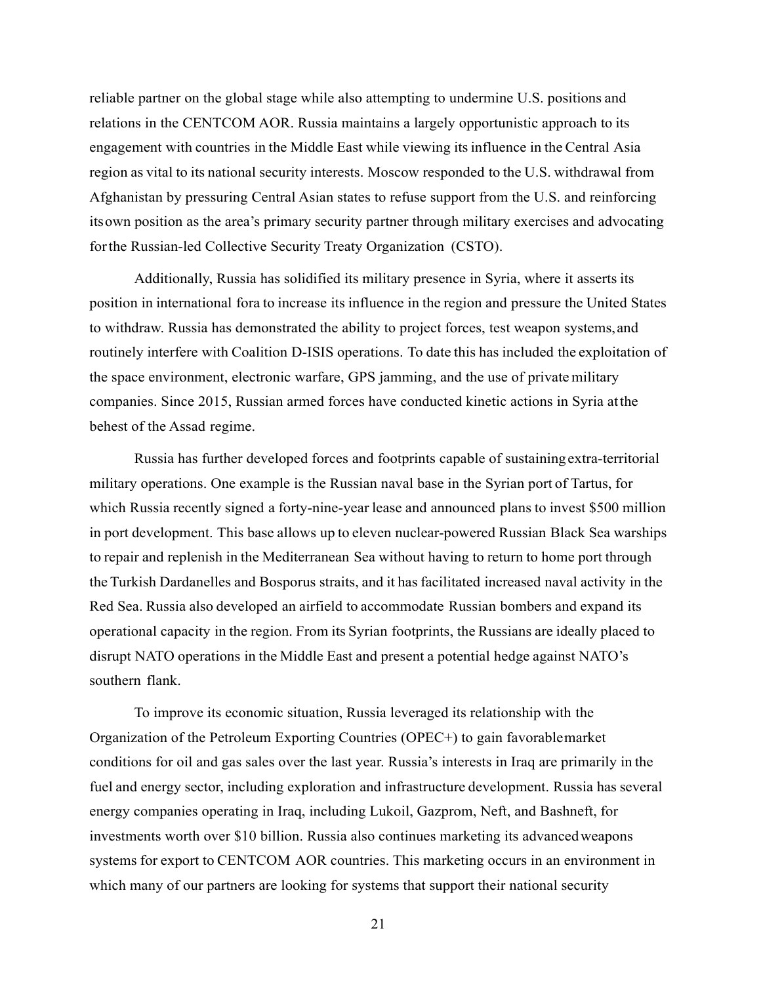reliable partner on the global stage while also attempting to undermine U.S. positions and relations in the CENTCOM AOR. Russia maintains a largely opportunistic approach to its engagement with countries in the Middle East while viewing its influence in the Central Asia region as vital to its national security interests. Moscow responded to the U.S. withdrawal from Afghanistan by pressuring Central Asian states to refuse support from the U.S. and reinforcing its own position as the area's primary security partner through military exercises and advocating for the Russian-led Collective Security Treaty Organization (CSTO).

Additionally, Russia has solidified its military presence in Syria, where it asserts its position in international fora to increase its influence in the region and pressure the United States to withdraw. Russia has demonstrated the ability to project forces, test weapon systems, and routinely interfere with Coalition D-ISIS operations. To date this has included the exploitation of the space environment, electronic warfare, GPS jamming, and the use of private military companies. Since 2015, Russian armed forces have conducted kinetic actions in Syria at the behest of the Assad regime.

Russia has further developed forces and footprints capable of sustaining extra-territorial military operations. One example is the Russian naval base in the Syrian port of Tartus, for which Russia recently signed a forty-nine-year lease and announced plans to invest \$500 million in port development. This base allows up to eleven nuclear-powered Russian Black Sea warships to repair and replenish in the Mediterranean Sea without having to return to home port through the Turkish Dardanelles and Bosporus straits, and it has facilitated increased naval activity in the Red Sea. Russia also developed an airfield to accommodate Russian bombers and expand its operational capacity in the region. From its Syrian footprints, the Russians are ideally placed to disrupt NATO operations in the Middle East and present a potential hedge against NATO's southern flank.

To improve its economic situation, Russia leveraged its relationship with the Organization of the Petroleum Exporting Countries (OPEC+) to gain favorable market conditions for oil and gas sales over the last year. Russia's interests in Iraq are primarily in the fuel and energy sector, including exploration and infrastructure development. Russia has several energy companies operating in Iraq, including Lukoil, Gazprom, Neft, and Bashneft, for investments worth over \$10 billion. Russia also continues marketing its advanced weapons systems for export to CENTCOM AOR countries. This marketing occurs in an environment in which many of our partners are looking for systems that support their national security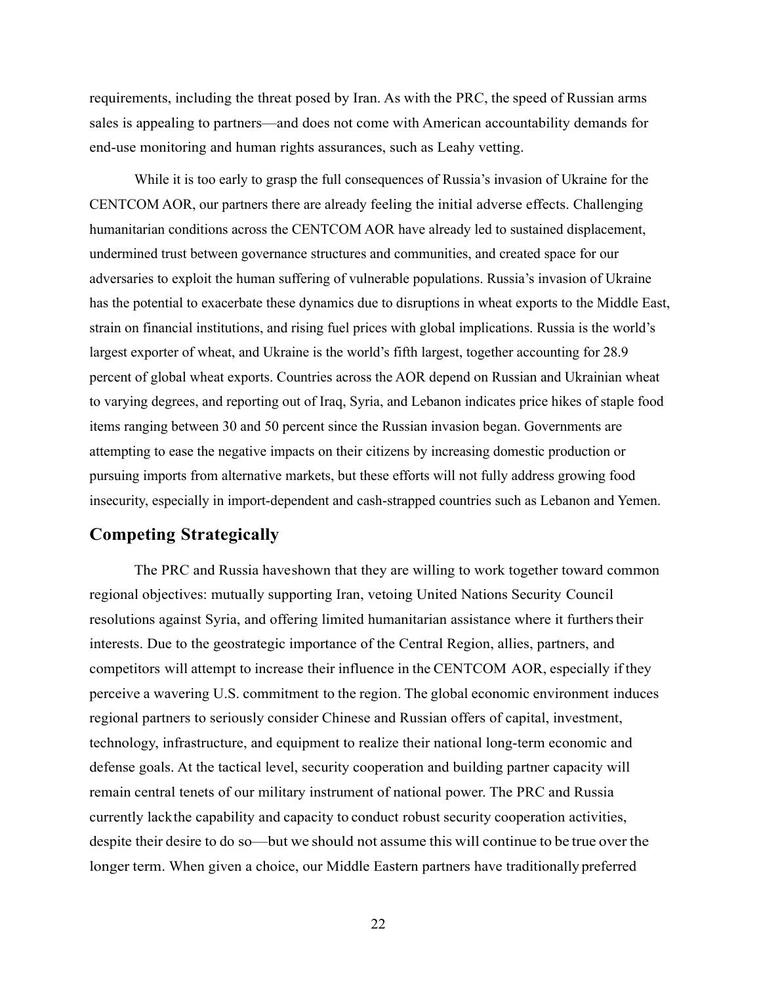requirements, including the threat posed by Iran. As with the PRC, the speed of Russian arms sales is appealing to partners—and does not come with American accountability demands for end-use monitoring and human rights assurances, such as Leahy vetting.

While it is too early to grasp the full consequences of Russia's invasion of Ukraine for the CENTCOM AOR, our partners there are already feeling the initial adverse effects. Challenging humanitarian conditions across the CENTCOM AOR have already led to sustained displacement, undermined trust between governance structures and communities, and created space for our adversaries to exploit the human suffering of vulnerable populations. Russia's invasion of Ukraine has the potential to exacerbate these dynamics due to disruptions in wheat exports to the Middle East, strain on financial institutions, and rising fuel prices with global implications. Russia is the world's largest exporter of wheat, and Ukraine is the world's fifth largest, together accounting for 28.9 percent of global wheat exports. Countries across the AOR depend on Russian and Ukrainian wheat to varying degrees, and reporting out of Iraq, Syria, and Lebanon indicates price hikes of staple food items ranging between 30 and 50 percent since the Russian invasion began. Governments are attempting to ease the negative impacts on their citizens by increasing domestic production or pursuing imports from alternative markets, but these efforts will not fully address growing food insecurity, especially in import-dependent and cash-strapped countries such as Lebanon and Yemen.

# **Competing Strategically**

The PRC and Russia have shown that they are willing to work together toward common regional objectives: mutually supporting Iran, vetoing United Nations Security Council resolutions against Syria, and offering limited humanitarian assistance where it furthers their interests. Due to the geostrategic importance of the Central Region, allies, partners, and competitors will attempt to increase their influence in the CENTCOM AOR, especially if they perceive a wavering U.S. commitment to the region. The global economic environment induces regional partners to seriously consider Chinese and Russian offers of capital, investment, technology, infrastructure, and equipment to realize their national long-term economic and defense goals. At the tactical level, security cooperation and building partner capacity will remain central tenets of our military instrument of national power. The PRC and Russia currently lack the capability and capacity to conduct robust security cooperation activities, despite their desire to do so—but we should not assume this will continue to be true over the longer term. When given a choice, our Middle Eastern partners have traditionally preferred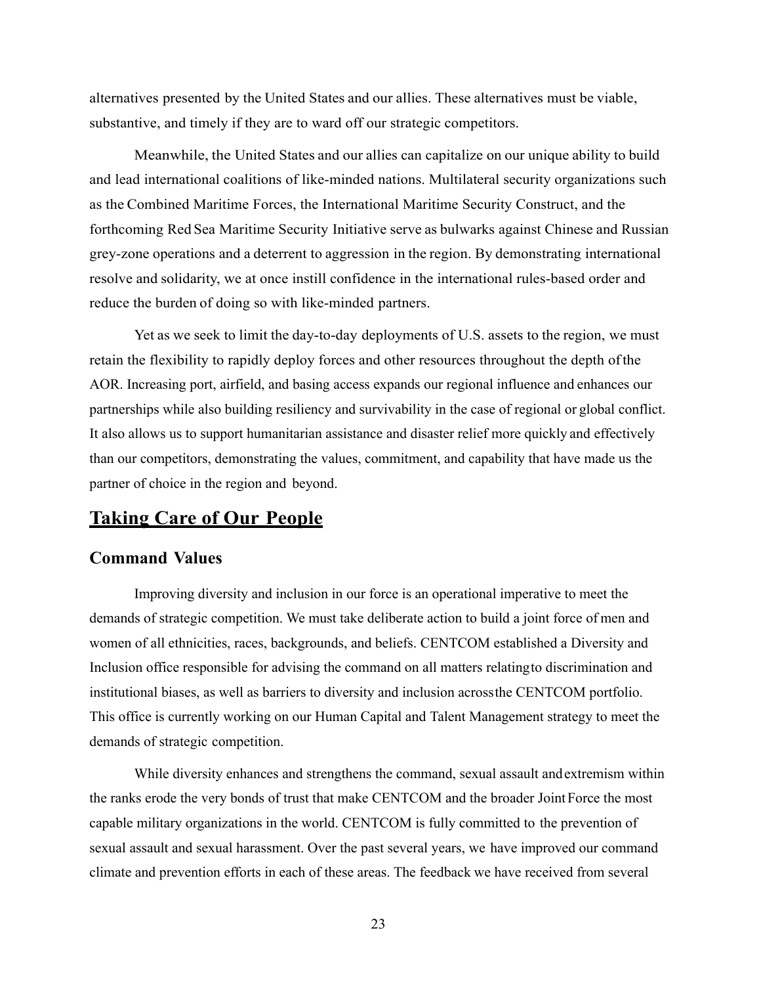alternatives presented by the United States and our allies. These alternatives must be viable, substantive, and timely if they are to ward off our strategic competitors.

 Meanwhile, the United States and our allies can capitalize on our unique ability to build and lead international coalitions of like-minded nations. Multilateral security organizations such as the Combined Maritime Forces, the International Maritime Security Construct, and the forthcoming Red Sea Maritime Security Initiative serve as bulwarks against Chinese and Russian grey-zone operations and a deterrent to aggression in the region. By demonstrating international resolve and solidarity, we at once instill confidence in the international rules-based order and reduce the burden of doing so with like-minded partners.

 Yet as we seek to limit the day-to-day deployments of U.S. assets to the region, we must retain the flexibility to rapidly deploy forces and other resources throughout the depth of the AOR. Increasing port, airfield, and basing access expands our regional influence and enhances our partnerships while also building resiliency and survivability in the case of regional or global conflict. It also allows us to support humanitarian assistance and disaster relief more quickly and effectively than our competitors, demonstrating the values, commitment, and capability that have made us the partner of choice in the region and beyond.

# **Taking Care of Our People**

## **Command Values**

 Improving diversity and inclusion in our force is an operational imperative to meet the demands of strategic competition. We must take deliberate action to build a joint force of men and women of all ethnicities, races, backgrounds, and beliefs. CENTCOM established a Diversity and Inclusion office responsible for advising the command on all matters relating to discrimination and institutional biases, as well as barriers to diversity and inclusion across the CENTCOM portfolio. This office is currently working on our Human Capital and Talent Management strategy to meet the demands of strategic competition.

 While diversity enhances and strengthens the command, sexual assault and extremism within the ranks erode the very bonds of trust that make CENTCOM and the broader Joint Force the most capable military organizations in the world. CENTCOM is fully committed to the prevention of sexual assault and sexual harassment. Over the past several years, we have improved our command climate and prevention efforts in each of these areas. The feedback we have received from several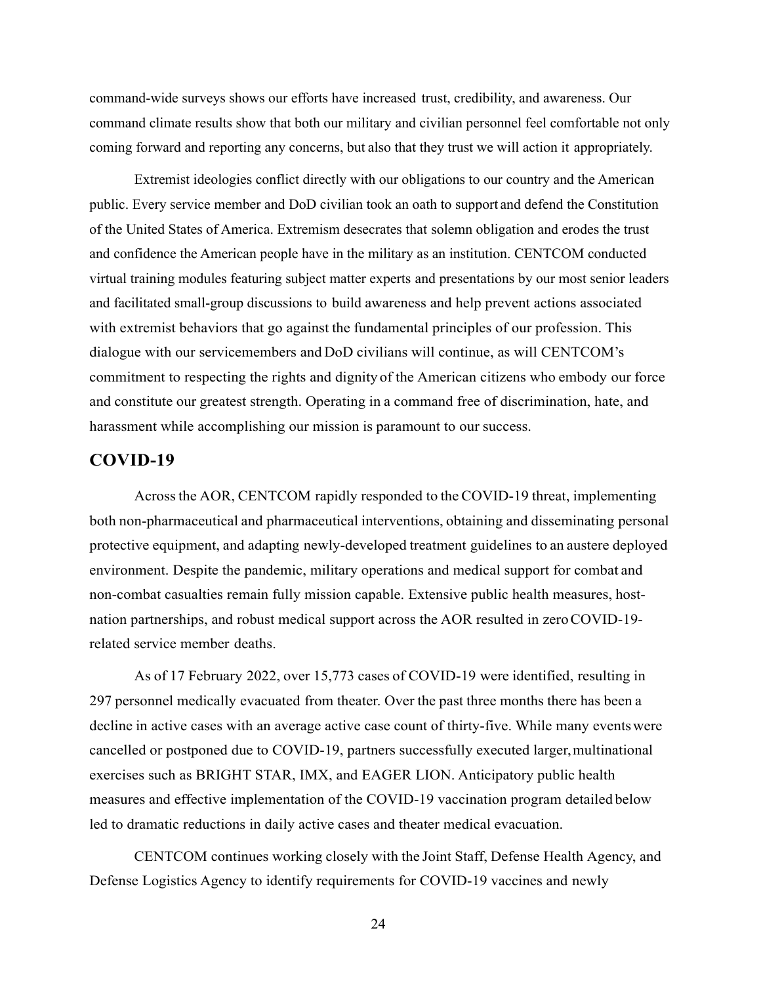command-wide surveys shows our efforts have increased trust, credibility, and awareness. Our command climate results show that both our military and civilian personnel feel comfortable not only coming forward and reporting any concerns, but also that they trust we will action it appropriately.

 Extremist ideologies conflict directly with our obligations to our country and the American public. Every service member and DoD civilian took an oath to support and defend the Constitution of the United States of America. Extremism desecrates that solemn obligation and erodes the trust and confidence the American people have in the military as an institution. CENTCOM conducted virtual training modules featuring subject matter experts and presentations by our most senior leaders and facilitated small-group discussions to build awareness and help prevent actions associated with extremist behaviors that go against the fundamental principles of our profession. This dialogue with our servicemembers and DoD civilians will continue, as will CENTCOM's commitment to respecting the rights and dignity of the American citizens who embody our force and constitute our greatest strength. Operating in a command free of discrimination, hate, and harassment while accomplishing our mission is paramount to our success.

## **COVID-19**

 Across the AOR, CENTCOM rapidly responded to the COVID-19 threat, implementing both non-pharmaceutical and pharmaceutical interventions, obtaining and disseminating personal protective equipment, and adapting newly-developed treatment guidelines to an austere deployed environment. Despite the pandemic, military operations and medical support for combat and non-combat casualties remain fully mission capable. Extensive public health measures, hostnation partnerships, and robust medical support across the AOR resulted in zero COVID-19 related service member deaths.

 As of 17 February 2022, over 15,773 cases of COVID-19 were identified, resulting in 297 personnel medically evacuated from theater. Over the past three months there has been a decline in active cases with an average active case count of thirty-five. While many events were cancelled or postponed due to COVID-19, partners successfully executed larger, multinational exercises such as BRIGHT STAR, IMX, and EAGER LION. Anticipatory public health measures and effective implementation of the COVID-19 vaccination program detailed below led to dramatic reductions in daily active cases and theater medical evacuation.

CENTCOM continues working closely with the Joint Staff, Defense Health Agency, and Defense Logistics Agency to identify requirements for COVID-19 vaccines and newly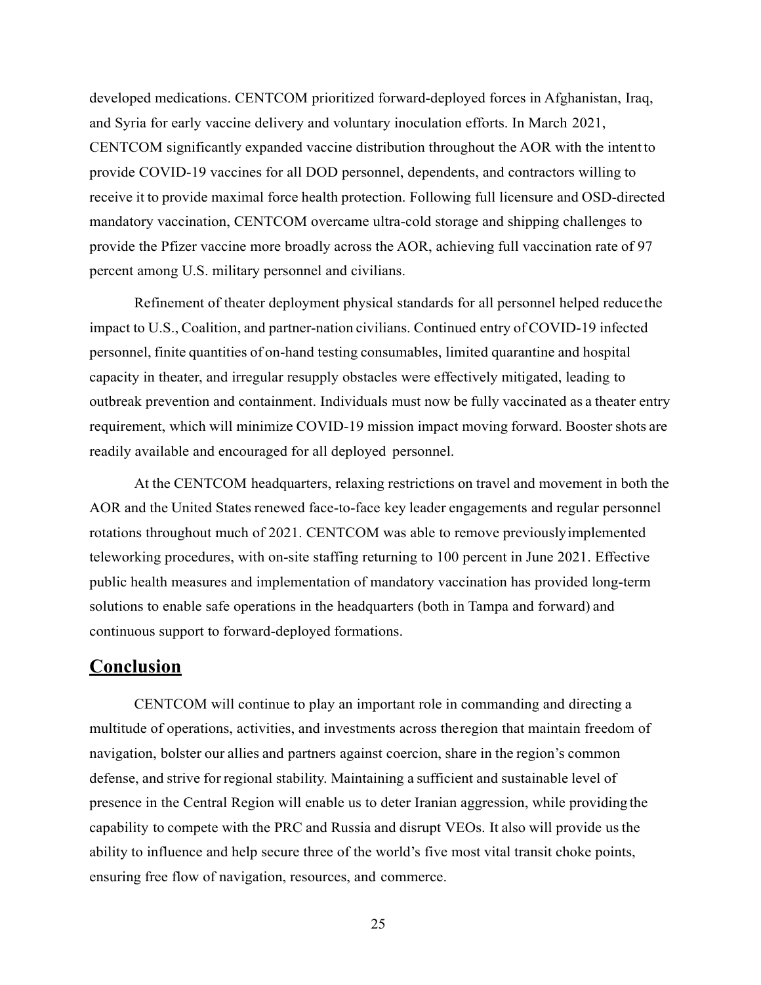developed medications. CENTCOM prioritized forward-deployed forces in Afghanistan, Iraq, and Syria for early vaccine delivery and voluntary inoculation efforts. In March 2021, CENTCOM significantly expanded vaccine distribution throughout the AOR with the intent to provide COVID-19 vaccines for all DOD personnel, dependents, and contractors willing to receive it to provide maximal force health protection. Following full licensure and OSD-directed mandatory vaccination, CENTCOM overcame ultra-cold storage and shipping challenges to provide the Pfizer vaccine more broadly across the AOR, achieving full vaccination rate of 97 percent among U.S. military personnel and civilians.

 Refinement of theater deployment physical standards for all personnel helped reduce the impact to U.S., Coalition, and partner-nation civilians. Continued entry of COVID-19 infected personnel, finite quantities of on-hand testing consumables, limited quarantine and hospital capacity in theater, and irregular resupply obstacles were effectively mitigated, leading to outbreak prevention and containment. Individuals must now be fully vaccinated as a theater entry requirement, which will minimize COVID-19 mission impact moving forward. Booster shots are readily available and encouraged for all deployed personnel.

At the CENTCOM headquarters, relaxing restrictions on travel and movement in both the AOR and the United States renewed face-to-face key leader engagements and regular personnel rotations throughout much of 2021. CENTCOM was able to remove previously implemented teleworking procedures, with on-site staffing returning to 100 percent in June 2021. Effective public health measures and implementation of mandatory vaccination has provided long-term solutions to enable safe operations in the headquarters (both in Tampa and forward) and continuous support to forward-deployed formations.

# **Conclusion**

 CENTCOM will continue to play an important role in commanding and directing a multitude of operations, activities, and investments across the region that maintain freedom of navigation, bolster our allies and partners against coercion, share in the region's common defense, and strive for regional stability. Maintaining a sufficient and sustainable level of presence in the Central Region will enable us to deter Iranian aggression, while providing the capability to compete with the PRC and Russia and disrupt VEOs. It also will provide us the ability to influence and help secure three of the world's five most vital transit choke points, ensuring free flow of navigation, resources, and commerce.